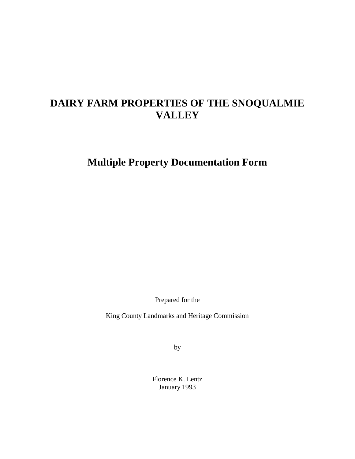# **DAIRY FARM PROPERTIES OF THE SNOQUALMIE VALLEY**

**Multiple Property Documentation Form**

Prepared for the

King County Landmarks and Heritage Commission

by

Florence K. Lentz January 1993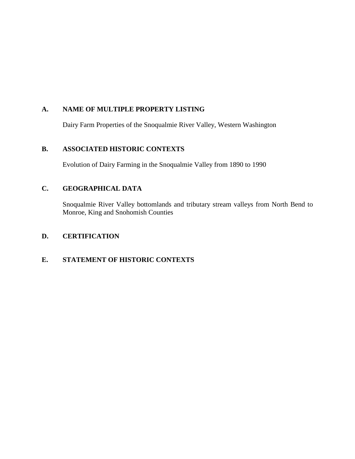# **A. NAME OF MULTIPLE PROPERTY LISTING**

Dairy Farm Properties of the Snoqualmie River Valley, Western Washington

## **B. ASSOCIATED HISTORIC CONTEXTS**

Evolution of Dairy Farming in the Snoqualmie Valley from 1890 to 1990

# **C. GEOGRAPHICAL DATA**

Snoqualmie River Valley bottomlands and tributary stream valleys from North Bend to Monroe, King and Snohomish Counties

# **D. CERTIFICATION**

# **E. STATEMENT OF HISTORIC CONTEXTS**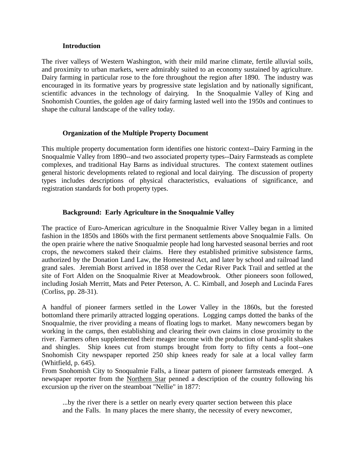#### **Introduction**

The river valleys of Western Washington, with their mild marine climate, fertile alluvial soils, and proximity to urban markets, were admirably suited to an economy sustained by agriculture. Dairy farming in particular rose to the fore throughout the region after 1890. The industry was encouraged in its formative years by progressive state legislation and by nationally significant, scientific advances in the technology of dairying. In the Snoqualmie Valley of King and Snohomish Counties, the golden age of dairy farming lasted well into the 1950s and continues to shape the cultural landscape of the valley today.

### **Organization of the Multiple Property Document**

This multiple property documentation form identifies one historic context--Dairy Farming in the Snoqualmie Valley from 1890--and two associated property types--Dairy Farmsteads as complete complexes, and traditional Hay Barns as individual structures. The context statement outlines general historic developments related to regional and local dairying. The discussion of property types includes descriptions of physical characteristics, evaluations of significance, and registration standards for both property types.

### **Background: Early Agriculture in the Snoqualmie Valley**

The practice of Euro-American agriculture in the Snoqualmie River Valley began in a limited fashion in the 1850s and 1860s with the first permanent settlements above Snoqualmie Falls. On the open prairie where the native Snoqualmie people had long harvested seasonal berries and root crops, the newcomers staked their claims. Here they established primitive subsistence farms, authorized by the Donation Land Law, the Homestead Act, and later by school and railroad land grand sales. Jeremiah Borst arrived in 1858 over the Cedar River Pack Trail and settled at the site of Fort Alden on the Snoqualmie River at Meadowbrook. Other pioneers soon followed, including Josiah Merritt, Mats and Peter Peterson, A. C. Kimball, and Joseph and Lucinda Fares (Corliss, pp. 28-31).

A handful of pioneer farmers settled in the Lower Valley in the 1860s, but the forested bottomland there primarily attracted logging operations. Logging camps dotted the banks of the Snoqualmie, the river providing a means of floating logs to market. Many newcomers began by working in the camps, then establishing and clearing their own claims in close proximity to the river. Farmers often supplemented their meager income with the production of hand-split shakes and shingles. Ship knees cut from stumps brought from forty to fifty cents a foot--one Snohomish City newspaper reported 250 ship knees ready for sale at a local valley farm (Whitfield, p. 645).

From Snohomish City to Snoqualmie Falls, a linear pattern of pioneer farmsteads emerged. A newspaper reporter from the Northern Star penned a description of the country following his excursion up the river on the steamboat "Nellie" in 1877:

...by the river there is a settler on nearly every quarter section between this place and the Falls. In many places the mere shanty, the necessity of every newcomer,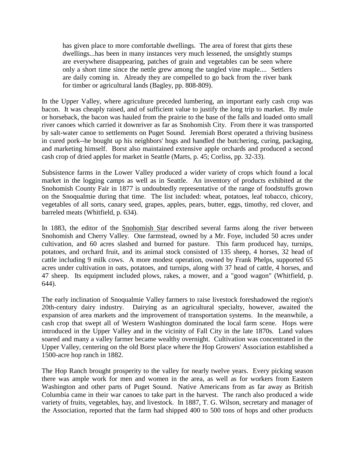has given place to more comfortable dwellings. The area of forest that girts these dwellings...has been in many instances very much lessened, the unsightly stumps are everywhere disappearing, patches of grain and vegetables can be seen where only a short time since the nettle grew among the tangled vine maple.... Settlers are daily coming in. Already they are compelled to go back from the river bank for timber or agricultural lands (Bagley, pp. 808-809).

In the Upper Valley, where agriculture preceded lumbering, an important early cash crop was bacon. It was cheaply raised, and of sufficient value to justify the long trip to market. By mule or horseback, the bacon was hauled from the prairie to the base of the falls and loaded onto small river canoes which carried it downriver as far as Snohomish City. From there it was transported by salt-water canoe to settlements on Puget Sound. Jeremiah Borst operated a thriving business in cured pork--he bought up his neighbors' hogs and handled the butchering, curing, packaging, and marketing himself. Borst also maintained extensive apple orchards and produced a second cash crop of dried apples for market in Seattle (Marts, p. 45; Corliss, pp. 32-33).

Subsistence farms in the Lower Valley produced a wider variety of crops which found a local market in the logging camps as well as in Seattle. An inventory of products exhibited at the Snohomish County Fair in 1877 is undoubtedly representative of the range of foodstuffs grown on the Snoqualmie during that time. The list included: wheat, potatoes, leaf tobacco, chicory, vegetables of all sorts, canary seed, grapes, apples, pears, butter, eggs, timothy, red clover, and barreled meats (Whitfield, p. 634).

In 1883, the editor of the Snohomish Star described several farms along the river between Snohomish and Cherry Valley. One farmstead, owned by a Mr. Foye, included 50 acres under cultivation, and 60 acres slashed and burned for pasture. This farm produced hay, turnips, potatoes, and orchard fruit, and its animal stock consisted of 135 sheep, 4 horses, 32 head of cattle including 9 milk cows. A more modest operation, owned by Frank Phelps, supported 65 acres under cultivation in oats, potatoes, and turnips, along with 37 head of cattle, 4 horses, and 47 sheep. Its equipment included plows, rakes, a mower, and a "good wagon" (Whitfield, p. 644).

The early inclination of Snoqualmie Valley farmers to raise livestock foreshadowed the region's 20th-century dairy industry. Dairying as an agricultural specialty, however, awaited the expansion of area markets and the improvement of transportation systems. In the meanwhile, a cash crop that swept all of Western Washington dominated the local farm scene. Hops were introduced in the Upper Valley and in the vicinity of Fall City in the late 1870s. Land values soared and many a valley farmer became wealthy overnight. Cultivation was concentrated in the Upper Valley, centering on the old Borst place where the Hop Growers' Association established a 1500-acre hop ranch in 1882.

The Hop Ranch brought prosperity to the valley for nearly twelve years. Every picking season there was ample work for men and women in the area, as well as for workers from Eastern Washington and other parts of Puget Sound. Native Americans from as far away as British Columbia came in their war canoes to take part in the harvest. The ranch also produced a wide variety of fruits, vegetables, hay, and livestock. In 1887, T. G. Wilson, secretary and manager of the Association, reported that the farm had shipped 400 to 500 tons of hops and other products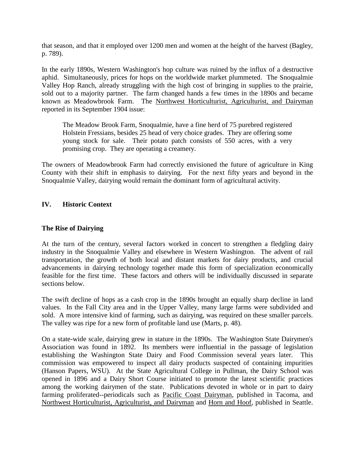that season, and that it employed over 1200 men and women at the height of the harvest (Bagley, p. 789).

In the early 1890s, Western Washington's hop culture was ruined by the influx of a destructive aphid. Simultaneously, prices for hops on the worldwide market plummeted. The Snoqualmie Valley Hop Ranch, already struggling with the high cost of bringing in supplies to the prairie, sold out to a majority partner. The farm changed hands a few times in the 1890s and became known as Meadowbrook Farm. The Northwest Horticulturist, Agriculturist, and Dairyman reported in its September 1904 issue:

The Meadow Brook Farm, Snoqualmie, have a fine herd of 75 purebred registered Holstein Fressians, besides 25 head of very choice grades. They are offering some young stock for sale. Their potato patch consists of 550 acres, with a very promising crop. They are operating a creamery.

The owners of Meadowbrook Farm had correctly envisioned the future of agriculture in King County with their shift in emphasis to dairying. For the next fifty years and beyond in the Snoqualmie Valley, dairying would remain the dominant form of agricultural activity.

## **IV. Historic Context**

## **The Rise of Dairying**

At the turn of the century, several factors worked in concert to strengthen a fledgling dairy industry in the Snoqualmie Valley and elsewhere in Western Washington. The advent of rail transportation, the growth of both local and distant markets for dairy products, and crucial advancements in dairying technology together made this form of specialization economically feasible for the first time. These factors and others will be individually discussed in separate sections below.

The swift decline of hops as a cash crop in the 1890s brought an equally sharp decline in land values. In the Fall City area and in the Upper Valley, many large farms were subdivided and sold. A more intensive kind of farming, such as dairying, was required on these smaller parcels. The valley was ripe for a new form of profitable land use (Marts, p. 48).

On a state-wide scale, dairying grew in stature in the 1890s. The Washington State Dairymen's Association was found in 1892. Its members were influential in the passage of legislation establishing the Washington State Dairy and Food Commission several years later. This commission was empowered to inspect all dairy products suspected of containing impurities (Hanson Papers, WSU). At the State Agricultural College in Pullman, the Dairy School was opened in 1896 and a Dairy Short Course initiated to promote the latest scientific practices among the working dairymen of the state. Publications devoted in whole or in part to dairy farming proliferated--periodicals such as Pacific Coast Dairyman, published in Tacoma, and Northwest Horticulturist, Agriculturist, and Dairyman and Horn and Hoof, published in Seattle.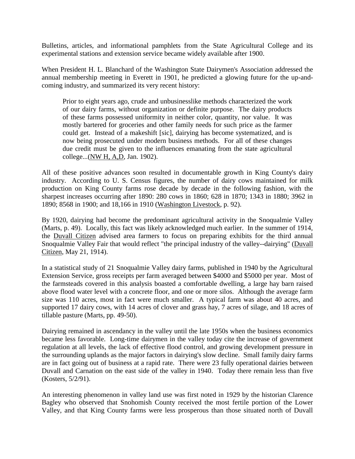Bulletins, articles, and informational pamphlets from the State Agricultural College and its experimental stations and extension service became widely available after 1900.

When President H. L. Blanchard of the Washington State Dairymen's Association addressed the annual membership meeting in Everett in 1901, he predicted a glowing future for the up-andcoming industry, and summarized its very recent history:

Prior to eight years ago, crude and unbusinesslike methods characterized the work of our dairy farms, without organization or definite purpose. The dairy products of these farms possessed uniformity in neither color, quantity, nor value. It was mostly bartered for groceries and other family needs for such price as the farmer could get. Instead of a makeshift [sic], dairying has become systematized, and is now being prosecuted under modern business methods. For all of these changes due credit must be given to the influences emanating from the state agricultural college...(NW H, A,D, Jan. 1902).

All of these positive advances soon resulted in documentable growth in King County's dairy industry. According to U. S. Census figures, the number of dairy cows maintained for milk production on King County farms rose decade by decade in the following fashion, with the sharpest increases occurring after 1890: 280 cows in 1860; 628 in 1870; 1343 in 1880; 3962 in 1890; 8568 in 1900; and 18,166 in 1910 (Washington Livestock, p. 92).

By 1920, dairying had become the predominant agricultural activity in the Snoqualmie Valley (Marts, p. 49). Locally, this fact was likely acknowledged much earlier. In the summer of 1914, the Duvall Citizen advised area farmers to focus on preparing exhibits for the third annual Snoqualmie Valley Fair that would reflect "the principal industry of the valley--dairying" (Duvall Citizen, May 21, 1914).

In a statistical study of 21 Snoqualmie Valley dairy farms, published in 1940 by the Agricultural Extension Service, gross receipts per farm averaged between \$4000 and \$5000 per year. Most of the farmsteads covered in this analysis boasted a comfortable dwelling, a large hay barn raised above flood water level with a concrete floor, and one or more silos. Although the average farm size was 110 acres, most in fact were much smaller. A typical farm was about 40 acres, and supported 17 dairy cows, with 14 acres of clover and grass hay, 7 acres of silage, and 18 acres of tillable pasture (Marts, pp. 49-50).

Dairying remained in ascendancy in the valley until the late 1950s when the business economics became less favorable. Long-time dairymen in the valley today cite the increase of government regulation at all levels, the lack of effective flood control, and growing development pressure in the surrounding uplands as the major factors in dairying's slow decline. Small family dairy farms are in fact going out of business at a rapid rate. There were 23 fully operational dairies between Duvall and Carnation on the east side of the valley in 1940. Today there remain less than five (Kosters, 5/2/91).

An interesting phenomenon in valley land use was first noted in 1929 by the historian Clarence Bagley who observed that Snohomish County received the most fertile portion of the Lower Valley, and that King County farms were less prosperous than those situated north of Duvall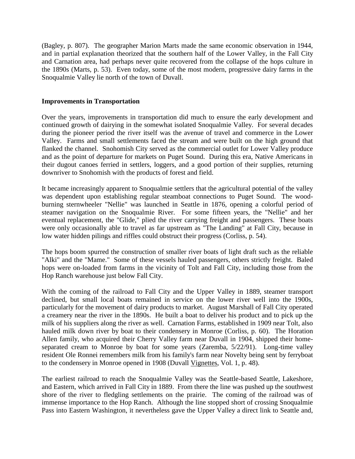(Bagley, p. 807). The geographer Marion Marts made the same economic observation in 1944, and in partial explanation theorized that the southern half of the Lower Valley, in the Fall City and Carnation area, had perhaps never quite recovered from the collapse of the hops culture in the 1890s (Marts, p. 53). Even today, some of the most modern, progressive dairy farms in the Snoqualmie Valley lie north of the town of Duvall.

#### **Improvements in Transportation**

Over the years, improvements in transportation did much to ensure the early development and continued growth of dairying in the somewhat isolated Snoqualmie Valley. For several decades during the pioneer period the river itself was the avenue of travel and commerce in the Lower Valley. Farms and small settlements faced the stream and were built on the high ground that flanked the channel. Snohomish City served as the commercial outlet for Lower Valley produce and as the point of departure for markets on Puget Sound. During this era, Native Americans in their dugout canoes ferried in settlers, loggers, and a good portion of their supplies, returning downriver to Snohomish with the products of forest and field.

It became increasingly apparent to Snoqualmie settlers that the agricultural potential of the valley was dependent upon establishing regular steamboat connections to Puget Sound. The woodburning sternwheeler "Nellie" was launched in Seattle in 1876, opening a colorful period of steamer navigation on the Snoqualmie River. For some fifteen years, the "Nellie" and her eventual replacement, the "Glide," plied the river carrying freight and passengers. These boats were only occasionally able to travel as far upstream as "The Landing" at Fall City, because in low water hidden pilings and riffles could obstruct their progress (Corliss, p. 54).

The hops boom spurred the construction of smaller river boats of light draft such as the reliable "Alki" and the "Mame." Some of these vessels hauled passengers, others strictly freight. Baled hops were on-loaded from farms in the vicinity of Tolt and Fall City, including those from the Hop Ranch warehouse just below Fall City.

With the coming of the railroad to Fall City and the Upper Valley in 1889, steamer transport declined, but small local boats remained in service on the lower river well into the 1900s, particularly for the movement of dairy products to market. August Marshall of Fall City operated a creamery near the river in the 1890s. He built a boat to deliver his product and to pick up the milk of his suppliers along the river as well. Carnation Farms, established in 1909 near Tolt, also hauled milk down river by boat to their condensery in Monroe (Corliss, p. 60). The Horation Allen family, who acquired their Cherry Valley farm near Duvall in 1904, shipped their homeseparated cream to Monroe by boat for some years (Zaremba, 5/22/91). Long-time valley resident Ole Ronnei remembers milk from his family's farm near Novelty being sent by ferryboat to the condensery in Monroe opened in 1908 (Duvall Vignettes, Vol. 1, p. 48).

The earliest railroad to reach the Snoqualmie Valley was the Seattle-based Seattle, Lakeshore, and Eastern, which arrived in Fall City in 1889. From there the line was pushed up the southwest shore of the river to fledgling settlements on the prairie. The coming of the railroad was of immense importance to the Hop Ranch. Although the line stopped short of crossing Snoqualmie Pass into Eastern Washington, it nevertheless gave the Upper Valley a direct link to Seattle and,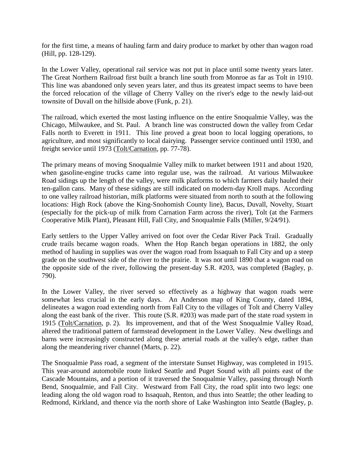for the first time, a means of hauling farm and dairy produce to market by other than wagon road (Hill, pp. 128-129).

In the Lower Valley, operational rail service was not put in place until some twenty years later. The Great Northern Railroad first built a branch line south from Monroe as far as Tolt in 1910. This line was abandoned only seven years later, and thus its greatest impact seems to have been the forced relocation of the village of Cherry Valley on the river's edge to the newly laid-out townsite of Duvall on the hillside above (Funk, p. 21).

The railroad, which exerted the most lasting influence on the entire Snoqualmie Valley, was the Chicago, Milwaukee, and St. Paul. A branch line was constructed down the valley from Cedar Falls north to Everett in 1911. This line proved a great boon to local logging operations, to agriculture, and most significantly to local dairying. Passenger service continued until 1930, and freight service until 1973 (Tolt/Carnation, pp. 77-78).

The primary means of moving Snoqualmie Valley milk to market between 1911 and about 1920, when gasoline-engine trucks came into regular use, was the railroad. At various Milwaukee Road sidings up the length of the valley, were milk platforms to which farmers daily hauled their ten-gallon cans. Many of these sidings are still indicated on modern-day Kroll maps. According to one valley railroad historian, milk platforms were situated from north to south at the following locations: High Rock (above the King-Snohomish County line), Bacus, Duvall, Novelty, Stuart (especially for the pick-up of milk from Carnation Farm across the river), Tolt (at the Farmers Cooperative Milk Plant), Pleasant Hill, Fall City, and Snoqualmie Falls (Miller, 9/24/91).

Early settlers to the Upper Valley arrived on foot over the Cedar River Pack Trail. Gradually crude trails became wagon roads. When the Hop Ranch began operations in 1882, the only method of hauling in supplies was over the wagon road from Issaquah to Fall City and up a steep grade on the southwest side of the river to the prairie. It was not until 1890 that a wagon road on the opposite side of the river, following the present-day S.R. #203, was completed (Bagley, p. 790).

In the Lower Valley, the river served so effectively as a highway that wagon roads were somewhat less crucial in the early days. An Anderson map of King County, dated 1894, delineates a wagon road extending north from Fall City to the villages of Tolt and Cherry Valley along the east bank of the river. This route (S.R. #203) was made part of the state road system in 1915 (Tolt/Carnation, p. 2). Its improvement, and that of the West Snoqualmie Valley Road, altered the traditional pattern of farmstead development in the Lower Valley. New dwellings and barns were increasingly constructed along these arterial roads at the valley's edge, rather than along the meandering river channel (Marts, p. 22).

The Snoqualmie Pass road, a segment of the interstate Sunset Highway, was completed in 1915. This year-around automobile route linked Seattle and Puget Sound with all points east of the Cascade Mountains, and a portion of it traversed the Snoqualmie Valley, passing through North Bend, Snoqualmie, and Fall City. Westward from Fall City, the road split into two legs: one leading along the old wagon road to Issaquah, Renton, and thus into Seattle; the other leading to Redmond, Kirkland, and thence via the north shore of Lake Washington into Seattle (Bagley, p.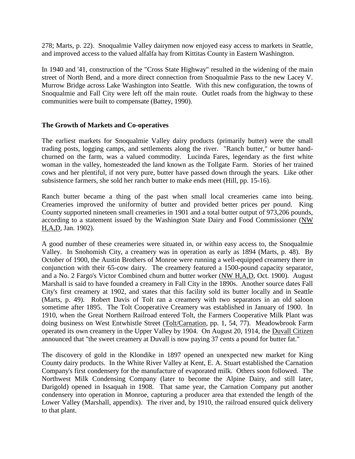278; Marts, p. 22). Snoqualmie Valley dairymen now enjoyed easy access to markets in Seattle, and improved access to the valued alfalfa hay from Kittitas County in Eastern Washington.

In 1940 and '41, construction of the "Cross State Highway" resulted in the widening of the main street of North Bend, and a more direct connection from Snoqualmie Pass to the new Lacey V. Murrow Bridge across Lake Washington into Seattle. With this new configuration, the towns of Snoqualmie and Fall City were left off the main route. Outlet roads from the highway to these communities were built to compensate (Battey, 1990).

### **The Growth of Markets and Co-operatives**

The earliest markets for Snoqualmie Valley dairy products (primarily butter) were the small trading posts, logging camps, and settlements along the river. "Ranch butter," or butter handchurned on the farm, was a valued commodity. Lucinda Fares, legendary as the first white woman in the valley, homesteaded the land known as the Tollgate Farm. Stories of her trained cows and her plentiful, if not very pure, butter have passed down through the years. Like other subsistence farmers, she sold her ranch butter to make ends meet (Hill, pp. 15-16).

Ranch butter became a thing of the past when small local creameries came into being. Creameries improved the uniformity of butter and provided better prices per pound. King County supported nineteen small creameries in 1901 and a total butter output of 973,206 pounds, according to a statement issued by the Washington State Dairy and Food Commissioner (NW H,A,D, Jan. 1902).

A good number of these creameries were situated in, or within easy access to, the Snoqualmie Valley. In Snohomish City, a creamery was in operation as early as 1894 (Marts, p. 48). By October of 1900, the Austin Brothers of Monroe were running a well-equipped creamery there in conjunction with their 65-cow dairy. The creamery featured a 1500-pound capacity separator, and a No. 2 Fargo's Victor Combined churn and butter worker (NW H,A,D, Oct. 1900). August Marshall is said to have founded a creamery in Fall City in the 1890s. Another source dates Fall City's first creamery at 1902, and states that this facility sold its butter locally and in Seattle (Marts, p. 49). Robert Davis of Tolt ran a creamery with two separators in an old saloon sometime after 1895. The Tolt Cooperative Creamery was established in January of 1900. In 1910, when the Great Northern Railroad entered Tolt, the Farmers Cooperative Milk Plant was doing business on West Entwhistle Street (Tolt/Carnation, pp. 1, 54, 77). Meadowbrook Farm operated its own creamery in the Upper Valley by 1904. On August 20, 1914, the Duvall Citizen announced that "the sweet creamery at Duvall is now paying 37 cents a pound for butter fat."

The discovery of gold in the Klondike in 1897 opened an unexpected new market for King County dairy products. In the White River Valley at Kent, E. A. Stuart established the Carnation Company's first condensery for the manufacture of evaporated milk. Others soon followed. The Northwest Milk Condensing Company (later to become the Alpine Dairy, and still later, Darigold) opened in Issaquah in 1908. That same year, the Carnation Company put another condensery into operation in Monroe, capturing a producer area that extended the length of the Lower Valley (Marshall, appendix). The river and, by 1910, the railroad ensured quick delivery to that plant.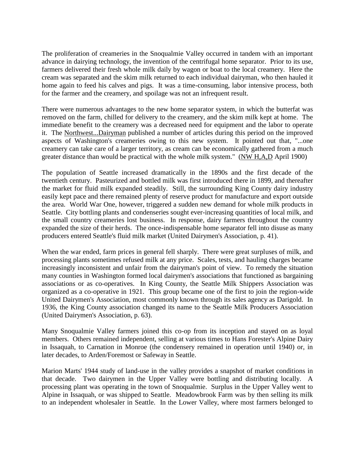The proliferation of creameries in the Snoqualmie Valley occurred in tandem with an important advance in dairying technology, the invention of the centrifugal home separator. Prior to its use, farmers delivered their fresh whole milk daily by wagon or boat to the local creamery. Here the cream was separated and the skim milk returned to each individual dairyman, who then hauled it home again to feed his calves and pigs. It was a time-consuming, labor intensive process, both for the farmer and the creamery, and spoilage was not an infrequent result.

There were numerous advantages to the new home separator system, in which the butterfat was removed on the farm, chilled for delivery to the creamery, and the skim milk kept at home. The immediate benefit to the creamery was a decreased need for equipment and the labor to operate it. The Northwest...Dairyman published a number of articles during this period on the improved aspects of Washington's creameries owing to this new system. It pointed out that, "...one creamery can take care of a larger territory, as cream can be economically gathered from a much greater distance than would be practical with the whole milk system." (NW H,A,D April 1900)

The population of Seattle increased dramatically in the 1890s and the first decade of the twentieth century. Pasteurized and bottled milk was first introduced there in 1899, and thereafter the market for fluid milk expanded steadily. Still, the surrounding King County dairy industry easily kept pace and there remained plenty of reserve product for manufacture and export outside the area. World War One, however, triggered a sudden new demand for whole milk products in Seattle. City bottling plants and condenseries sought ever-increasing quantities of local milk, and the small country creameries lost business. In response, dairy farmers throughout the country expanded the size of their herds. The once-indispensable home separator fell into disuse as many producers entered Seattle's fluid milk market (United Dairymen's Association, p. 41).

When the war ended, farm prices in general fell sharply. There were great surpluses of milk, and processing plants sometimes refused milk at any price. Scales, tests, and hauling charges became increasingly inconsistent and unfair from the dairyman's point of view. To remedy the situation many counties in Washington formed local dairymen's associations that functioned as bargaining associations or as co-operatives. In King County, the Seattle Milk Shippers Association was organized as a co-operative in 1921. This group became one of the first to join the region-wide United Dairymen's Association, most commonly known through its sales agency as Darigold. In 1936, the King County association changed its name to the Seattle Milk Producers Association (United Dairymen's Association, p. 63).

Many Snoqualmie Valley farmers joined this co-op from its inception and stayed on as loyal members. Others remained independent, selling at various times to Hans Forester's Alpine Dairy in Issaquah, to Carnation in Monroe (the condensery remained in operation until 1940) or, in later decades, to Arden/Foremost or Safeway in Seattle.

Marion Marts' 1944 study of land-use in the valley provides a snapshot of market conditions in that decade. Two dairymen in the Upper Valley were bottling and distributing locally. A processing plant was operating in the town of Snoqualmie. Surplus in the Upper Valley went to Alpine in Issaquah, or was shipped to Seattle. Meadowbrook Farm was by then selling its milk to an independent wholesaler in Seattle. In the Lower Valley, where most farmers belonged to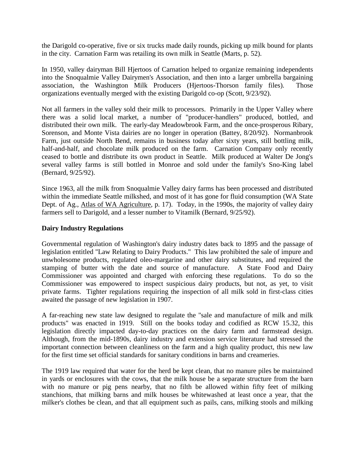the Darigold co-operative, five or six trucks made daily rounds, picking up milk bound for plants in the city. Carnation Farm was retailing its own milk in Seattle (Marts, p. 52).

In 1950, valley dairyman Bill Hjertoos of Carnation helped to organize remaining independents into the Snoqualmie Valley Dairymen's Association, and then into a larger umbrella bargaining association, the Washington Milk Producers (Hjertoos-Thorson family files). Those organizations eventually merged with the existing Darigold co-op (Scott, 9/23/92).

Not all farmers in the valley sold their milk to processors. Primarily in the Upper Valley where there was a solid local market, a number of "producer-handlers" produced, bottled, and distributed their own milk. The early-day Meadowbrook Farm, and the once-prosperous Ribary, Sorenson, and Monte Vista dairies are no longer in operation (Battey, 8/20/92). Normanbrook Farm, just outside North Bend, remains in business today after sixty years, still bottling milk, half-and-half, and chocolate milk produced on the farm. Carnation Company only recently ceased to bottle and distribute its own product in Seattle. Milk produced at Walter De Jong's several valley farms is still bottled in Monroe and sold under the family's Sno-King label (Bernard, 9/25/92).

Since 1963, all the milk from Snoqualmie Valley dairy farms has been processed and distributed within the immediate Seattle milkshed, and most of it has gone for fluid consumption (WA State Dept. of Ag., Atlas of WA Agriculture, p. 17). Today, in the 1990s, the majority of valley dairy farmers sell to Darigold, and a lesser number to Vitamilk (Bernard, 9/25/92).

## **Dairy Industry Regulations**

Governmental regulation of Washington's dairy industry dates back to 1895 and the passage of legislation entitled "Law Relating to Dairy Products." This law prohibited the sale of impure and unwholesome products, regulated oleo-margarine and other dairy substitutes, and required the stamping of butter with the date and source of manufacture. A State Food and Dairy Commissioner was appointed and charged with enforcing these regulations. To do so the Commissioner was empowered to inspect suspicious dairy products, but not, as yet, to visit private farms. Tighter regulations requiring the inspection of all milk sold in first-class cities awaited the passage of new legislation in 1907.

A far-reaching new state law designed to regulate the "sale and manufacture of milk and milk products" was enacted in 1919. Still on the books today and codified as RCW 15.32, this legislation directly impacted day-to-day practices on the dairy farm and farmstead design. Although, from the mid-1890s, dairy industry and extension service literature had stressed the important connection between cleanliness on the farm and a high quality product, this new law for the first time set official standards for sanitary conditions in barns and creameries.

The 1919 law required that water for the herd be kept clean, that no manure piles be maintained in yards or enclosures with the cows, that the milk house be a separate structure from the barn with no manure or pig pens nearby, that no filth be allowed within fifty feet of milking stanchions, that milking barns and milk houses be whitewashed at least once a year, that the milker's clothes be clean, and that all equipment such as pails, cans, milking stools and milking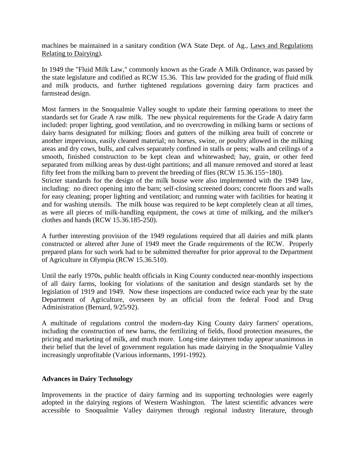machines be maintained in a sanitary condition (WA State Dept. of Ag., Laws and Regulations Relating to Dairying).

In 1949 the "Fluid Milk Law," commonly known as the Grade A Milk Ordinance, was passed by the state legislature and codified as RCW 15.36. This law provided for the grading of fluid milk and milk products, and further tightened regulations governing dairy farm practices and farmstead design.

Most farmers in the Snoqualmie Valley sought to update their farming operations to meet the standards set for Grade A raw milk. The new physical requirements for the Grade A dairy farm included: proper lighting, good ventilation, and no overcrowding in milking barns or sections of dairy barns designated for milking; floors and gutters of the milking area built of concrete or another impervious, easily cleaned material; no horses, swine, or poultry allowed in the milking areas and dry cows, bulls, and calves separately confined in stalls or pens; walls and ceilings of a smooth, finished construction to be kept clean and whitewashed; hay, grain, or other feed separated from milking areas by dust-tight partitions; and all manure removed and stored at least fifty feet from the milking barn to prevent the breeding of flies (RCW 15.36.155~180).

Stricter standards for the design of the milk house were also implemented with the 1949 law, including: no direct opening into the barn; self-closing screened doors; concrete floors and walls for easy cleaning; proper lighting and ventilation; and running water with facilities for heating it and for washing utensils. The milk house was required to be kept completely clean at all times, as were all pieces of milk-handling equipment, the cows at time of milking, and the milker's clothes and hands (RCW 15.36.185-250).

A further interesting provision of the 1949 regulations required that all dairies and milk plants constructed or altered after June of 1949 meet the Grade requirements of the RCW. Properly prepared plans for such work had to be submitted thereafter for prior approval to the Department of Agriculture in Olympia (RCW 15.36.510).

Until the early 1970s, public health officials in King County conducted near-monthly inspections of all dairy farms, looking for violations of the sanitation and design standards set by the legislation of 1919 and 1949. Now these inspections are conducted twice each year by the state Department of Agriculture, overseen by an official from the federal Food and Drug Administration (Bernard, 9/25/92).

A multitude of regulations control the modern-day King County dairy farmers' operations, including the construction of new barns, the fertilizing of fields, flood protection measures, the pricing and marketing of milk, and much more. Long-time dairymen today appear unanimous in their belief that the level of government regulation has made dairying in the Snoqualmie Valley increasingly unprofitable (Various informants, 1991-1992).

### **Advances in Dairy Technology**

Improvements in the practice of dairy farming and its supporting technologies were eagerly adopted in the dairying regions of Western Washington. The latest scientific advances were accessible to Snoqualmie Valley dairymen through regional industry literature, through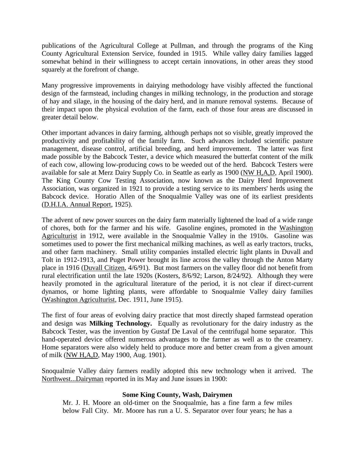publications of the Agricultural College at Pullman, and through the programs of the King County Agricultural Extension Service, founded in 1915. While valley dairy families lagged somewhat behind in their willingness to accept certain innovations, in other areas they stood squarely at the forefront of change.

Many progressive improvements in dairying methodology have visibly affected the functional design of the farmstead, including changes in milking technology, in the production and storage of hay and silage, in the housing of the dairy herd, and in manure removal systems. Because of their impact upon the physical evolution of the farm, each of those four areas are discussed in greater detail below.

Other important advances in dairy farming, although perhaps not so visible, greatly improved the productivity and profitability of the family farm. Such advances included scientific pasture management, disease control, artificial breeding, and herd improvement. The latter was first made possible by the Babcock Tester, a device which measured the butterfat content of the milk of each cow, allowing low-producing cows to be weeded out of the herd. Babcock Testers were available for sale at Merz Dairy Supply Co. in Seattle as early as 1900 (NW H,A,D, April 1900). The King County Cow Testing Association, now known as the Dairy Herd Improvement Association, was organized in 1921 to provide a testing service to its members' herds using the Babcock device. Horatio Allen of the Snoqualmie Valley was one of its earliest presidents (D.H.I.A. Annual Report, 1925).

The advent of new power sources on the dairy farm materially lightened the load of a wide range of chores, both for the farmer and his wife. Gasoline engines, promoted in the Washington Agriculturist in 1912, were available in the Snoqualmie Valley in the 1910s. Gasoline was sometimes used to power the first mechanical milking machines, as well as early tractors, trucks, and other farm machinery. Small utility companies installed electric light plants in Duvall and Tolt in 1912-1913, and Puget Power brought its line across the valley through the Anton Marty place in 1916 (Duvall Citizen, 4/6/91). But most farmers on the valley floor did not benefit from rural electrification until the late 1920s (Kosters, 8/6/92; Larson, 8/24/92). Although they were heavily promoted in the agricultural literature of the period, it is not clear if direct-current dynamos, or home lighting plants, were affordable to Snoqualmie Valley dairy families (Washington Agriculturist, Dec. 1911, June 1915).

The first of four areas of evolving dairy practice that most directly shaped farmstead operation and design was **Milking Technology.** Equally as revolutionary for the dairy industry as the Babcock Tester, was the invention by Gustaf De Laval of the centrifugal home separator. This hand-operated device offered numerous advantages to the farmer as well as to the creamery. Home separators were also widely held to produce more and better cream from a given amount of milk (NW H,A,D, May 1900, Aug. 1901).

Snoqualmie Valley dairy farmers readily adopted this new technology when it arrived. The Northwest...Dairyman reported in its May and June issues in 1900:

# **Some King County, Wash, Dairymen**

Mr. J. H. Moore an old-timer on the Snoqualmie, has a fine farm a few miles below Fall City. Mr. Moore has run a U. S. Separator over four years; he has a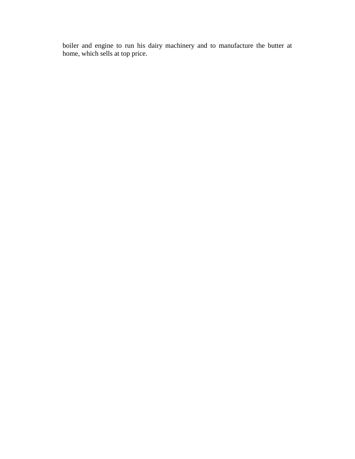boiler and engine to run his dairy machinery and to manufacture the butter at home, which sells at top price.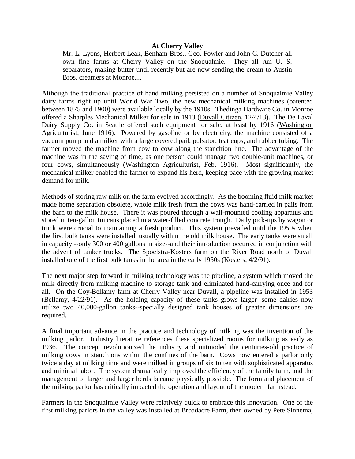#### **At Cherry Valley**

Mr. L. Lyons, Herbert Leak, Benham Bros., Geo. Fowler and John C. Dutcher all own fine farms at Cherry Valley on the Snoqualmie. They all run U. S. separators, making butter until recently but are now sending the cream to Austin Bros. creamers at Monroe....

Although the traditional practice of hand milking persisted on a number of Snoqualmie Valley dairy farms right up until World War Two, the new mechanical milking machines (patented between 1875 and 1900) were available locally by the 1910s. Thedinga Hardware Co. in Monroe offered a Sharples Mechanical Milker for sale in 1913 (Duvall Citizen, 12/4/13). The De Laval Dairy Supply Co. in Seattle offered such equipment for sale, at least by 1916 (Washington Agriculturist, June 1916). Powered by gasoline or by electricity, the machine consisted of a vacuum pump and a milker with a large covered pail, pulsator, teat cups, and rubber tubing. The farmer moved the machine from cow to cow along the stanchion line. The advantage of the machine was in the saving of time, as one person could manage two double-unit machines, or four cows, simultaneously (Washington Agriculturist, Feb. 1916). Most significantly, the mechanical milker enabled the farmer to expand his herd, keeping pace with the growing market demand for milk.

Methods of storing raw milk on the farm evolved accordingly. As the booming fluid milk market made home separation obsolete, whole milk fresh from the cows was hand-carried in pails from the barn to the milk house. There it was poured through a wall-mounted cooling apparatus and stored in ten-gallon tin cans placed in a water-filled concrete trough. Daily pick-ups by wagon or truck were crucial to maintaining a fresh product. This system prevailed until the 1950s when the first bulk tanks were installed, usually within the old milk house. The early tanks were small in capacity --only 300 or 400 gallons in size--and their introduction occurred in conjunction with the advent of tanker trucks. The Spoelstra-Kosters farm on the River Road north of Duvall installed one of the first bulk tanks in the area in the early 1950s (Kosters, 4/2/91).

The next major step forward in milking technology was the pipeline, a system which moved the milk directly from milking machine to storage tank and eliminated hand-carrying once and for all. On the Coy-Bellamy farm at Cherry Valley near Duvall, a pipeline was installed in 1953 (Bellamy, 4/22/91). As the holding capacity of these tanks grows larger--some dairies now utilize two 40,000-gallon tanks--specially designed tank houses of greater dimensions are required.

A final important advance in the practice and technology of milking was the invention of the milking parlor. Industry literature references these specialized rooms for milking as early as 1936. The concept revolutionized the industry and outmoded the centuries-old practice of milking cows in stanchions within the confines of the barn. Cows now entered a parlor only twice a day at milking time and were milked in groups of six to ten with sophisticated apparatus and minimal labor. The system dramatically improved the efficiency of the family farm, and the management of larger and larger herds became physically possible. The form and placement of the milking parlor has critically impacted the operation and layout of the modern farmstead.

Farmers in the Snoqualmie Valley were relatively quick to embrace this innovation. One of the first milking parlors in the valley was installed at Broadacre Farm, then owned by Pete Sinnema,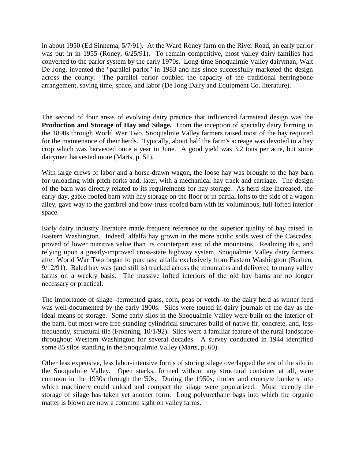in about 1950 (Ed Sinnema, 5/7/91). At the Ward Roney farm on the River Road, an early parlor was put in in 1955 (Roney, 6/25/91). To remain competitive, most valley dairy families had converted to the parlor system by the early 1970s. Long-time Snoqualmie Valley dairyman, Walt De Jong, invented the "parallel parlor" in 1983 and has since successfully marketed the design across the county. The parallel parlor doubled the capacity of the traditional herringbone arrangement, saving time, space, and labor (De Jong Dairy and Equipment Co. literature).

The second of four areas of evolving dairy practice that influenced farmstead design was the **Production and Storage of Hay and Silage.** From the inception of specialty dairy farming in the 1890s through World War Two, Snoqualmie Valley farmers raised most of the hay required for the maintenance of their herds. Typically, about half the farm's acreage was devoted to a hay crop which was harvested once a year in June. A good yield was 3.2 tons per acre, but some dairymen harvested more (Marts, p. 51).

With large crews of labor and a horse-drawn wagon, the loose hay was brought to the hay barn for unloading with pitch-forks and, later, with a mechanical hay track and carriage. The design of the barn was directly related to its requirements for hay storage. As herd size increased, the early-day, gable-roofed barn with hay storage on the floor or in partial lofts to the side of a wagon alley, gave way to the gambrel and bow-truss-roofed barn with its voluminous, full-lofted interior space.

Early dairy industry literature made frequent reference to the superior quality of hay raised in Eastern Washington. Indeed, alfalfa hay grown in the more acidic soils west of the Cascades, proved of lower nutritive value than its counterpart east of the mountains. Realizing this, and relying upon a greatly-improved cross-state highway system, Snoqualmie Valley dairy farmers after World War Two began to purchase alfalfa exclusively from Eastern Washington (Burhen, 9/12/91). Baled hay was (and still is) trucked across the mountains and delivered to many valley farms on a weekly basis. The massive lofted interiors of the old hay barns are no longer necessary or practical.

The importance of silage--fermented grass, corn, peas or vetch--to the dairy herd as winter feed was well-documented by the early 1900s. Silos were touted in dairy journals of the day as the ideal means of storage. Some early silos in the Snoqualmie Valley were built on the interior of the barn, but most were free-standing cylindrical structures build of native fir, concrete, and, less frequently, structural tile (Frohning, 10/1/92). Silos were a familiar feature of the rural landscape throughout Western Washington for several decades. A survey conducted in 1944 identified some 85 silos standing in the Snoqualmie Valley (Marts, p. 60).

Other less expensive, less labor-intensive forms of storing silage overlapped the era of the silo in the Snoqualmie Valley. Open stacks, formed without any structural container at all, were common in the 1930s through the '50s. During the 1950s, timber and concrete bunkers into which machinery could unload and compact the silage were popularized. Most recently the storage of silage has taken yet another form. Long polyurethane bags into which the organic matter is blown are now a common sight on valley farms.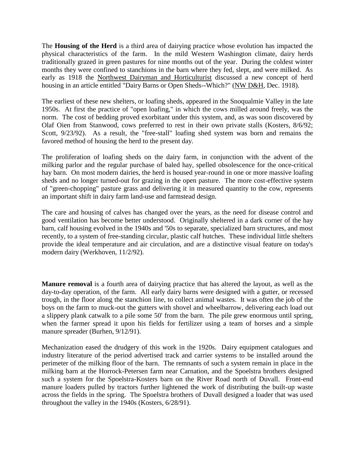The **Housing of the Herd** is a third area of dairying practice whose evolution has impacted the physical characteristics of the farm. In the mild Western Washington climate, dairy herds traditionally grazed in green pastures for nine months out of the year. During the coldest winter months they were confined to stanchions in the barn where they fed, slept, and were milked. As early as 1918 the Northwest Dairyman and Horticulturist discussed a new concept of herd housing in an article entitled "Dairy Barns or Open Sheds--Which?" (NW D&H, Dec. 1918).

The earliest of these new shelters, or loafing sheds, appeared in the Snoqualmie Valley in the late 1950s. At first the practice of "open loafing," in which the cows milled around freely, was the norm. The cost of bedding proved exorbitant under this system, and, as was soon discovered by Olaf Oien from Stanwood, cows preferred to rest in their own private stalls (Kosters, 8/6/92; Scott,  $9/23/92$ ). As a result, the "free-stall" loafing shed system was born and remains the favored method of housing the herd to the present day.

The proliferation of loafing sheds on the dairy farm, in conjunction with the advent of the milking parlor and the regular purchase of baled hay, spelled obsolescence for the once-critical hay barn. On most modern dairies, the herd is housed year-round in one or more massive loafing sheds and no longer turned-out for grazing in the open pasture. The more cost-effective system of "green-chopping" pasture grass and delivering it in measured quantity to the cow, represents an important shift in dairy farm land-use and farmstead design.

The care and housing of calves has changed over the years, as the need for disease control and good ventilation has become better understood. Originally sheltered in a dark corner of the hay barn, calf housing evolved in the 1940s and '50s to separate, specialized barn structures, and most recently, to a system of free-standing circular, plastic calf hutches. These individual little shelters provide the ideal temperature and air circulation, and are a distinctive visual feature on today's modern dairy (Werkhoven, 11/2/92).

**Manure removal** is a fourth area of dairying practice that has altered the layout, as well as the day-to-day operation, of the farm. All early dairy barns were designed with a gutter, or recessed trough, in the floor along the stanchion line, to collect animal wastes. It was often the job of the boys on the farm to muck-out the gutters with shovel and wheelbarrow, delivering each load out a slippery plank catwalk to a pile some 50' from the barn. The pile grew enormous until spring, when the farmer spread it upon his fields for fertilizer using a team of horses and a simple manure spreader (Burhen, 9/12/91).

Mechanization eased the drudgery of this work in the 1920s. Dairy equipment catalogues and industry literature of the period advertised track and carrier systems to be installed around the perimeter of the milking floor of the barn. The remnants of such a system remain in place in the milking barn at the Horrock-Petersen farm near Carnation, and the Spoelstra brothers designed such a system for the Spoelstra-Kosters barn on the River Road north of Duvall. Front-end manure loaders pulled by tractors further lightened the work of distributing the built-up waste across the fields in the spring. The Spoelstra brothers of Duvall designed a loader that was used throughout the valley in the 1940s (Kosters, 6/28/91).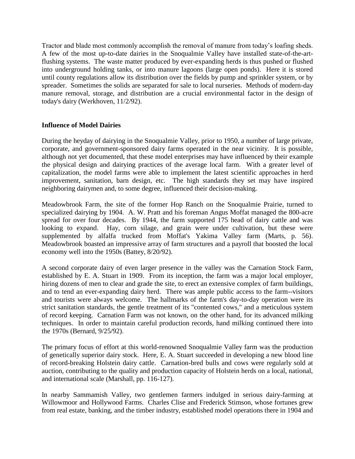Tractor and blade most commonly accomplish the removal of manure from today's loafing sheds. A few of the most up-to-date dairies in the Snoqualmie Valley have installed state-of-the-artflushing systems. The waste matter produced by ever-expanding herds is thus pushed or flushed into underground holding tanks, or into manure lagoons (large open ponds). Here it is stored until county regulations allow its distribution over the fields by pump and sprinkler system, or by spreader. Sometimes the solids are separated for sale to local nurseries. Methods of modern-day manure removal, storage, and distribution are a crucial environmental factor in the design of today's dairy (Werkhoven, 11/2/92).

## **Influence of Model Dairies**

During the heyday of dairying in the Snoqualmie Valley, prior to 1950, a number of large private, corporate, and government-sponsored dairy farms operated in the near vicinity. It is possible, although not yet documented, that these model enterprises may have influenced by their example the physical design and dairying practices of the average local farm. With a greater level of capitalization, the model farms were able to implement the latest scientific approaches in herd improvement, sanitation, barn design, etc. The high standards they set may have inspired neighboring dairymen and, to some degree, influenced their decision-making.

Meadowbrook Farm, the site of the former Hop Ranch on the Snoqualmie Prairie, turned to specialized dairying by 1904. A. W. Pratt and his foreman Angus Moffat managed the 800-acre spread for over four decades. By 1944, the farm supported 175 head of dairy cattle and was looking to expand. Hay, corn silage, and grain were under cultivation, but these were supplemented by alfalfa trucked from Moffat's Yakima Valley farm (Marts, p. 56). Meadowbrook boasted an impressive array of farm structures and a payroll that boosted the local economy well into the 1950s (Battey, 8/20/92).

A second corporate dairy of even larger presence in the valley was the Carnation Stock Farm, established by E. A. Stuart in 1909. From its inception, the farm was a major local employer, hiring dozens of men to clear and grade the site, to erect an extensive complex of farm buildings, and to tend an ever-expanding dairy herd. There was ample public access to the farm--visitors and tourists were always welcome. The hallmarks of the farm's day-to-day operation were its strict sanitation standards, the gentle treatment of its "contented cows," and a meticulous system of record keeping. Carnation Farm was not known, on the other hand, for its advanced milking techniques. In order to maintain careful production records, hand milking continued there into the 1970s (Bernard, 9/25/92).

The primary focus of effort at this world-renowned Snoqualmie Valley farm was the production of genetically superior dairy stock. Here, E. A. Stuart succeeded in developing a new blood line of record-breaking Holstein dairy cattle. Carnation-bred bulls and cows were regularly sold at auction, contributing to the quality and production capacity of Holstein herds on a local, national, and international scale (Marshall, pp. 116-127).

In nearby Sammamish Valley, two gentlemen farmers indulged in serious dairy-farming at Willowmoor and Hollywood Farms. Charles Clise and Frederick Stimson, whose fortunes grew from real estate, banking, and the timber industry, established model operations there in 1904 and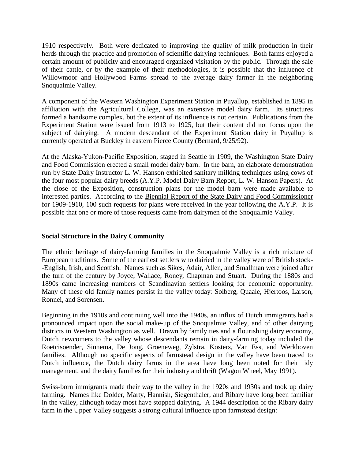1910 respectively. Both were dedicated to improving the quality of milk production in their herds through the practice and promotion of scientific dairying techniques. Both farms enjoyed a certain amount of publicity and encouraged organized visitation by the public. Through the sale of their cattle, or by the example of their methodologies, it is possible that the influence of Willowmoor and Hollywood Farms spread to the average dairy farmer in the neighboring Snoqualmie Valley.

A component of the Western Washington Experiment Station in Puyallup, established in 1895 in affiliation with the Agricultural College, was an extensive model dairy farm. Its structures formed a handsome complex, but the extent of its influence is not certain. Publications from the Experiment Station were issued from 1913 to 1925, but their content did not focus upon the subject of dairying. A modern descendant of the Experiment Station dairy in Puyallup is currently operated at Buckley in eastern Pierce County (Bernard, 9/25/92).

At the Alaska-Yukon-Pacific Exposition, staged in Seattle in 1909, the Washington State Dairy and Food Commission erected a small model dairy barn. In the barn, an elaborate demonstration run by State Dairy Instructor L. W. Hanson exhibited sanitary milking techniques using cows of the four most popular dairy breeds (A.Y.P. Model Dairy Barn Report, L. W. Hanson Papers). At the close of the Exposition, construction plans for the model barn were made available to interested parties. According to the Biennial Report of the State Dairy and Food Commissioner for 1909-1910, 100 such requests for plans were received in the year following the A.Y.P. It is possible that one or more of those requests came from dairymen of the Snoqualmie Valley.

### **Social Structure in the Dairy Community**

The ethnic heritage of dairy-farming families in the Snoqualmie Valley is a rich mixture of European traditions. Some of the earliest settlers who dairied in the valley were of British stock- -English, Irish, and Scottish. Names such as Sikes, Adair, Allen, and Smallman were joined after the turn of the century by Joyce, Wallace, Roney, Chapman and Stuart. During the 1880s and 1890s came increasing numbers of Scandinavian settlers looking for economic opportunity. Many of these old family names persist in the valley today: Solberg, Quaale, Hjertoos, Larson, Ronnei, and Sorensen.

Beginning in the 1910s and continuing well into the 1940s, an influx of Dutch immigrants had a pronounced impact upon the social make-up of the Snoqualmie Valley, and of other dairying districts in Western Washington as well. Drawn by family ties and a flourishing dairy economy, Dutch newcomers to the valley whose descendants remain in dairy-farming today included the Roetcisoender, Sinnema, De Jong, Groeneweg, Zylstra, Kosters, Van Ess, and Werkhoven families. Although no specific aspects of farmstead design in the valley have been traced to Dutch influence, the Dutch dairy farms in the area have long been noted for their tidy management, and the dairy families for their industry and thrift (Wagon Wheel, May 1991).

Swiss-born immigrants made their way to the valley in the 1920s and 1930s and took up dairy farming. Names like Dolder, Marty, Hannish, Siegenthaler, and Ribary have long been familiar in the valley, although today most have stopped dairying. A 1944 description of the Ribary dairy farm in the Upper Valley suggests a strong cultural influence upon farmstead design: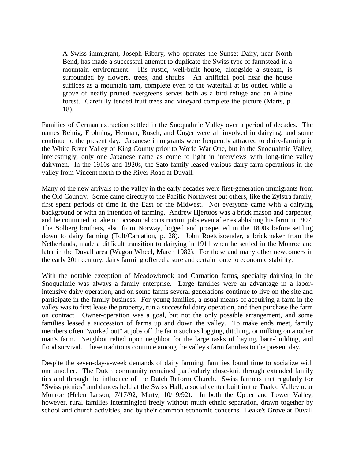A Swiss immigrant, Joseph Ribary, who operates the Sunset Dairy, near North Bend, has made a successful attempt to duplicate the Swiss type of farmstead in a mountain environment. His rustic, well-built house, alongside a stream, is surrounded by flowers, trees, and shrubs. An artificial pool near the house suffices as a mountain tarn, complete even to the waterfall at its outlet, while a grove of neatly pruned evergreens serves both as a bird refuge and an Alpine forest. Carefully tended fruit trees and vineyard complete the picture (Marts, p. 18).

Families of German extraction settled in the Snoqualmie Valley over a period of decades. The names Reinig, Frohning, Herman, Rusch, and Unger were all involved in dairying, and some continue to the present day. Japanese immigrants were frequently attracted to dairy-farming in the White River Valley of King County prior to World War One, but in the Snoqualmie Valley, interestingly, only one Japanese name as come to light in interviews with long-time valley dairymen. In the 1910s and 1920s, the Sato family leased various dairy farm operations in the valley from Vincent north to the River Road at Duvall.

Many of the new arrivals to the valley in the early decades were first-generation immigrants from the Old Country. Some came directly to the Pacific Northwest but others, like the Zylstra family, first spent periods of time in the East or the Midwest. Not everyone came with a dairying background or with an intention of farming. Andrew Hjertoos was a brick mason and carpenter, and he continued to take on occasional construction jobs even after establishing his farm in 1907. The Solberg brothers, also from Norway, logged and prospected in the 1890s before settling down to dairy farming (Tolt/Carnation, p. 28). John Roetcisoender, a brickmaker from the Netherlands, made a difficult transition to dairying in 1911 when he settled in the Monroe and later in the Duvall area (Wagon Wheel, March 1982). For these and many other newcomers in the early 20th century, dairy farming offered a sure and certain route to economic stability.

With the notable exception of Meadowbrook and Carnation farms, specialty dairying in the Snoqualmie was always a family enterprise. Large families were an advantage in a laborintensive dairy operation, and on some farms several generations continue to live on the site and participate in the family business. For young families, a usual means of acquiring a farm in the valley was to first lease the property, run a successful dairy operation, and then purchase the farm on contract. Owner-operation was a goal, but not the only possible arrangement, and some families leased a succession of farms up and down the valley. To make ends meet, family members often "worked out" at jobs off the farm such as logging, ditching, or milking on another man's farm. Neighbor relied upon neighbor for the large tasks of haying, barn-building, and flood survival. These traditions continue among the valley's farm families to the present day.

Despite the seven-day-a-week demands of dairy farming, families found time to socialize with one another. The Dutch community remained particularly close-knit through extended family ties and through the influence of the Dutch Reform Church. Swiss farmers met regularly for "Swiss picnics" and dances held at the Swiss Hall, a social center built in the Tualco Valley near Monroe (Helen Larson, 7/17/92; Marty, 10/19/92). In both the Upper and Lower Valley, however, rural families intermingled freely without much ethnic separation, drawn together by school and church activities, and by their common economic concerns. Leake's Grove at Duvall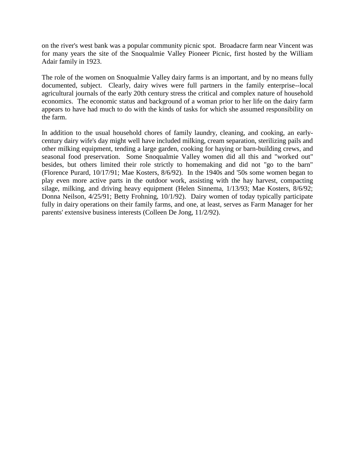on the river's west bank was a popular community picnic spot. Broadacre farm near Vincent was for many years the site of the Snoqualmie Valley Pioneer Picnic, first hosted by the William Adair family in 1923.

The role of the women on Snoqualmie Valley dairy farms is an important, and by no means fully documented, subject. Clearly, dairy wives were full partners in the family enterprise--local agricultural journals of the early 20th century stress the critical and complex nature of household economics. The economic status and background of a woman prior to her life on the dairy farm appears to have had much to do with the kinds of tasks for which she assumed responsibility on the farm.

In addition to the usual household chores of family laundry, cleaning, and cooking, an earlycentury dairy wife's day might well have included milking, cream separation, sterilizing pails and other milking equipment, tending a large garden, cooking for haying or barn-building crews, and seasonal food preservation. Some Snoqualmie Valley women did all this and "worked out" besides, but others limited their role strictly to homemaking and did not "go to the barn" (Florence Purard, 10/17/91; Mae Kosters, 8/6/92). In the 1940s and '50s some women began to play even more active parts in the outdoor work, assisting with the hay harvest, compacting silage, milking, and driving heavy equipment (Helen Sinnema, 1/13/93; Mae Kosters, 8/6/92; Donna Neilson, 4/25/91; Betty Frohning, 10/1/92). Dairy women of today typically participate fully in dairy operations on their family farms, and one, at least, serves as Farm Manager for her parents' extensive business interests (Colleen De Jong, 11/2/92).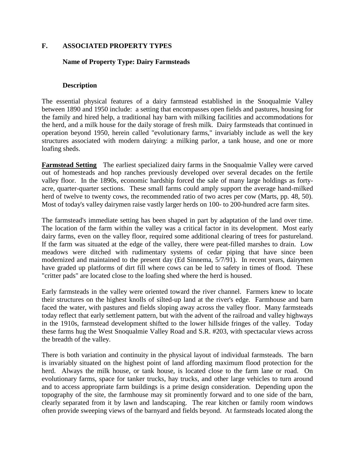## **F. ASSOCIATED PROPERTY TYPES**

### **Name of Property Type: Dairy Farmsteads**

#### **Description**

The essential physical features of a dairy farmstead established in the Snoqualmie Valley between 1890 and 1950 include: a setting that encompasses open fields and pastures, housing for the family and hired help, a traditional hay barn with milking facilities and accommodations for the herd, and a milk house for the daily storage of fresh milk. Dairy farmsteads that continued in operation beyond 1950, herein called "evolutionary farms," invariably include as well the key structures associated with modern dairying: a milking parlor, a tank house, and one or more loafing sheds.

**Farmstead Setting** The earliest specialized dairy farms in the Snoqualmie Valley were carved out of homesteads and hop ranches previously developed over several decades on the fertile valley floor. In the 1890s, economic hardship forced the sale of many large holdings as fortyacre, quarter-quarter sections. These small farms could amply support the average hand-milked herd of twelve to twenty cows, the recommended ratio of two acres per cow (Marts, pp. 48, 50). Most of today's valley dairymen raise vastly larger herds on 100- to 200-hundred acre farm sites.

The farmstead's immediate setting has been shaped in part by adaptation of the land over time. The location of the farm within the valley was a critical factor in its development. Most early dairy farms, even on the valley floor, required some additional clearing of trees for pastureland. If the farm was situated at the edge of the valley, there were peat-filled marshes to drain. Low meadows were ditched with rudimentary systems of cedar piping that have since been modernized and maintained to the present day (Ed Sinnema, 5/7/91). In recent years, dairymen have graded up platforms of dirt fill where cows can be led to safety in times of flood. These "critter pads" are located close to the loafing shed where the herd is housed.

Early farmsteads in the valley were oriented toward the river channel. Farmers knew to locate their structures on the highest knolls of silted-up land at the river's edge. Farmhouse and barn faced the water, with pastures and fields sloping away across the valley floor. Many farmsteads today reflect that early settlement pattern, but with the advent of the railroad and valley highways in the 1910s, farmstead development shifted to the lower hillside fringes of the valley. Today these farms hug the West Snoqualmie Valley Road and S.R. #203, with spectacular views across the breadth of the valley.

There is both variation and continuity in the physical layout of individual farmsteads. The barn is invariably situated on the highest point of land affording maximum flood protection for the herd. Always the milk house, or tank house, is located close to the farm lane or road. On evolutionary farms, space for tanker trucks, hay trucks, and other large vehicles to turn around and to access appropriate farm buildings is a prime design consideration. Depending upon the topography of the site, the farmhouse may sit prominently forward and to one side of the barn, clearly separated from it by lawn and landscaping. The rear kitchen or family room windows often provide sweeping views of the barnyard and fields beyond. At farmsteads located along the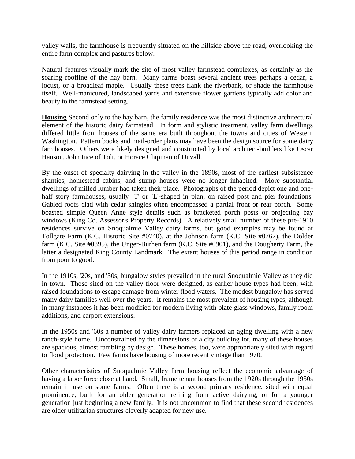valley walls, the farmhouse is frequently situated on the hillside above the road, overlooking the entire farm complex and pastures below.

Natural features visually mark the site of most valley farmstead complexes, as certainly as the soaring roofline of the hay barn. Many farms boast several ancient trees perhaps a cedar, a locust, or a broadleaf maple. Usually these trees flank the riverbank, or shade the farmhouse itself. Well-manicured, landscaped yards and extensive flower gardens typically add color and beauty to the farmstead setting.

**Housing** Second only to the hay barn, the family residence was the most distinctive architectural element of the historic dairy farmstead. In form and stylistic treatment, valley farm dwellings differed little from houses of the same era built throughout the towns and cities of Western Washington. Pattern books and mail-order plans may have been the design source for some dairy farmhouses. Others were likely designed and constructed by local architect-builders like Oscar Hanson, John Ince of Tolt, or Horace Chipman of Duvall.

By the onset of specialty dairying in the valley in the 1890s, most of the earliest subsistence shanties, homestead cabins, and stump houses were no longer inhabited. More substantial dwellings of milled lumber had taken their place. Photographs of the period depict one and onehalf story farmhouses, usually `T' or `L'-shaped in plan, on raised post and pier foundations. Gabled roofs clad with cedar shingles often encompassed a partial front or rear porch. Some boasted simple Queen Anne style details such as bracketed porch posts or projecting bay windows (King Co. Assessor's Property Records). A relatively small number of these pre-1910 residences survive on Snoqualmie Valley dairy farms, but good examples may be found at Tollgate Farm (K.C. Historic Site #0740), at the Johnson farm (K.C. Site #0767), the Dolder farm (K.C. Site #0895), the Unger-Burhen farm (K.C. Site #0901), and the Dougherty Farm, the latter a designated King County Landmark. The extant houses of this period range in condition from poor to good.

In the 1910s, '20s, and '30s, bungalow styles prevailed in the rural Snoqualmie Valley as they did in town. Those sited on the valley floor were designed, as earlier house types had been, with raised foundations to escape damage from winter flood waters. The modest bungalow has served many dairy families well over the years. It remains the most prevalent of housing types, although in many instances it has been modified for modern living with plate glass windows, family room additions, and carport extensions.

In the 1950s and '60s a number of valley dairy farmers replaced an aging dwelling with a new ranch-style home. Unconstrained by the dimensions of a city building lot, many of these houses are spacious, almost rambling by design. These homes, too, were appropriately sited with regard to flood protection. Few farms have housing of more recent vintage than 1970.

Other characteristics of Snoqualmie Valley farm housing reflect the economic advantage of having a labor force close at hand. Small, frame tenant houses from the 1920s through the 1950s remain in use on some farms. Often there is a second primary residence, sited with equal prominence, built for an older generation retiring from active dairying, or for a younger generation just beginning a new family. It is not uncommon to find that these second residences are older utilitarian structures cleverly adapted for new use.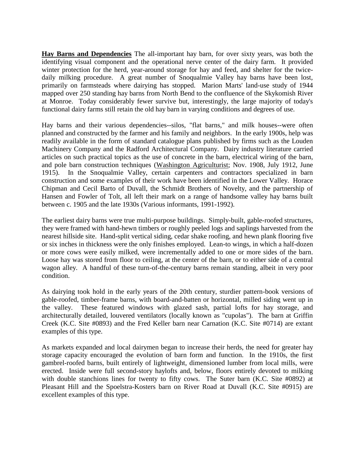**Hay Barns and Dependencies** The all-important hay barn, for over sixty years, was both the identifying visual component and the operational nerve center of the dairy farm. It provided winter protection for the herd, year-around storage for hay and feed, and shelter for the twicedaily milking procedure. A great number of Snoqualmie Valley hay barns have been lost, primarily on farmsteads where dairying has stopped. Marion Marts' land-use study of 1944 mapped over 250 standing hay barns from North Bend to the confluence of the Skykomish River at Monroe. Today considerably fewer survive but, interestingly, the large majority of today's functional dairy farms still retain the old hay barn in varying conditions and degrees of use.

Hay barns and their various dependencies--silos, "flat barns," and milk houses--were often planned and constructed by the farmer and his family and neighbors. In the early 1900s, help was readily available in the form of standard catalogue plans published by firms such as the Louden Machinery Company and the Radford Architectural Company. Dairy industry literature carried articles on such practical topics as the use of concrete in the barn, electrical wiring of the barn, and pole barn construction techniques (Washington Agriculturist; Nov. 1908, July 1912, June 1915). In the Snoqualmie Valley, certain carpenters and contractors specialized in barn construction and some examples of their work have been identified in the Lower Valley. Horace Chipman and Cecil Barto of Duvall, the Schmidt Brothers of Novelty, and the partnership of Hansen and Fowler of Tolt, all left their mark on a range of handsome valley hay barns built between c. 1905 and the late 1930s (Various informants, 1991-1992).

The earliest dairy barns were true multi-purpose buildings. Simply-built, gable-roofed structures, they were framed with hand-hewn timbers or roughly peeled logs and saplings harvested from the nearest hillside site. Hand-split vertical siding, cedar shake roofing, and hewn plank flooring five or six inches in thickness were the only finishes employed. Lean-to wings, in which a half-dozen or more cows were easily milked, were incrementally added to one or more sides of the barn. Loose hay was stored from floor to ceiling, at the center of the barn, or to either side of a central wagon alley. A handful of these turn-of-the-century barns remain standing, albeit in very poor condition.

As dairying took hold in the early years of the 20th century, sturdier pattern-book versions of gable-roofed, timber-frame barns, with board-and-batten or horizontal, milled siding went up in the valley. These featured windows with glazed sash, partial lofts for hay storage, and architecturally detailed, louvered ventilators (locally known as "cupolas"). The barn at Griffin Creek (K.C. Site #0893) and the Fred Keller barn near Carnation (K.C. Site #0714) are extant examples of this type.

As markets expanded and local dairymen began to increase their herds, the need for greater hay storage capacity encouraged the evolution of barn form and function. In the 1910s, the first gambrel-roofed barns, built entirely of lightweight, dimensioned lumber from local mills, were erected. Inside were full second-story haylofts and, below, floors entirely devoted to milking with double stanchions lines for twenty to fifty cows. The Suter barn (K.C. Site #0892) at Pleasant Hill and the Spoelstra-Kosters barn on River Road at Duvall (K.C. Site #0915) are excellent examples of this type.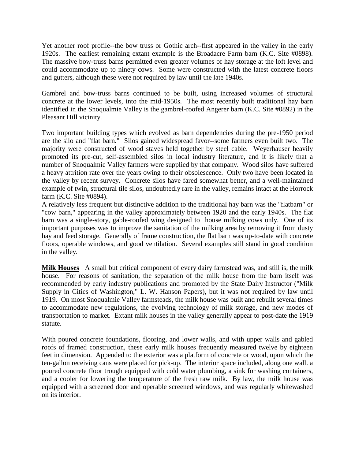Yet another roof profile--the bow truss or Gothic arch--first appeared in the valley in the early 1920s. The earliest remaining extant example is the Broadacre Farm barn (K.C. Site #0898). The massive bow-truss barns permitted even greater volumes of hay storage at the loft level and could accommodate up to ninety cows. Some were constructed with the latest concrete floors and gutters, although these were not required by law until the late 1940s.

Gambrel and bow-truss barns continued to be built, using increased volumes of structural concrete at the lower levels, into the mid-1950s. The most recently built traditional hay barn identified in the Snoqualmie Valley is the gambrel-roofed Angerer barn (K.C. Site #0892) in the Pleasant Hill vicinity.

Two important building types which evolved as barn dependencies during the pre-1950 period are the silo and "flat barn." Silos gained widespread favor--some farmers even built two. The majority were constructed of wood staves held together by steel cable. Weyerhauser heavily promoted its pre-cut, self-assembled silos in local industry literature, and it is likely that a number of Snoqualmie Valley farmers were supplied by that company. Wood silos have suffered a heavy attrition rate over the years owing to their obsolescence. Only two have been located in the valley by recent survey. Concrete silos have fared somewhat better, and a well-maintained example of twin, structural tile silos, undoubtedly rare in the valley, remains intact at the Horrock farm (K.C. Site #0894).

A relatively less frequent but distinctive addition to the traditional hay barn was the "flatbarn" or "cow barn," appearing in the valley approximately between 1920 and the early 1940s. The flat barn was a single-story, gable-roofed wing designed to house milking cows only. One of its important purposes was to improve the sanitation of the milking area by removing it from dusty hay and feed storage. Generally of frame construction, the flat barn was up-to-date with concrete floors, operable windows, and good ventilation. Several examples still stand in good condition in the valley.

**Milk Houses** A small but critical component of every dairy farmstead was, and still is, the milk house. For reasons of sanitation, the separation of the milk house from the barn itself was recommended by early industry publications and promoted by the State Dairy Instructor ("Milk Supply in Cities of Washington," L. W. Hanson Papers), but it was not required by law until 1919. On most Snoqualmie Valley farmsteads, the milk house was built and rebuilt several times to accommodate new regulations, the evolving technology of milk storage, and new modes of transportation to market. Extant milk houses in the valley generally appear to post-date the 1919 statute.

With poured concrete foundations, flooring, and lower walls, and with upper walls and gabled roofs of framed construction, these early milk houses frequently measured twelve by eighteen feet in dimension. Appended to the exterior was a platform of concrete or wood, upon which the ten-gallon receiving cans were placed for pick-up. The interior space included, along one wall. a poured concrete floor trough equipped with cold water plumbing, a sink for washing containers, and a cooler for lowering the temperature of the fresh raw milk. By law, the milk house was equipped with a screened door and operable screened windows, and was regularly whitewashed on its interior.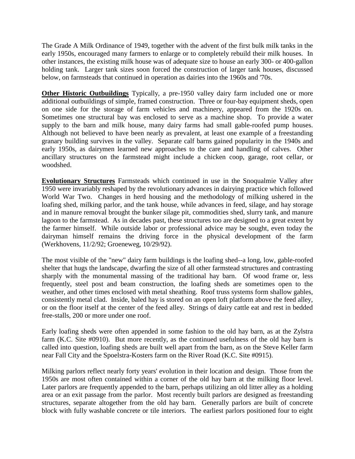The Grade A Milk Ordinance of 1949, together with the advent of the first bulk milk tanks in the early 1950s, encouraged many farmers to enlarge or to completely rebuild their milk houses. In other instances, the existing milk house was of adequate size to house an early 300- or 400-gallon holding tank. Larger tank sizes soon forced the construction of larger tank houses, discussed below, on farmsteads that continued in operation as dairies into the 1960s and '70s.

**Other Historic Outbuildings** Typically, a pre-1950 valley dairy farm included one or more additional outbuildings of simple, framed construction. Three or four-bay equipment sheds, open on one side for the storage of farm vehicles and machinery, appeared from the 1920s on. Sometimes one structural bay was enclosed to serve as a machine shop. To provide a water supply to the barn and milk house, many dairy farms had small gable-roofed pump houses. Although not believed to have been nearly as prevalent, at least one example of a freestanding granary building survives in the valley. Separate calf barns gained popularity in the 1940s and early 1950s, as dairymen learned new approaches to the care and handling of calves. Other ancillary structures on the farmstead might include a chicken coop, garage, root cellar, or woodshed.

**Evolutionary Structures** Farmsteads which continued in use in the Snoqualmie Valley after 1950 were invariably reshaped by the revolutionary advances in dairying practice which followed World War Two. Changes in herd housing and the methodology of milking ushered in the loafing shed, milking parlor, and the tank house, while advances in feed, silage, and hay storage and in manure removal brought the bunker silage pit, commodities shed, slurry tank, and manure lagoon to the farmstead. As in decades past, these structures too are designed to a great extent by the farmer himself. While outside labor or professional advice may be sought, even today the dairyman himself remains the driving force in the physical development of the farm (Werkhovens, 11/2/92; Groeneweg, 10/29/92).

The most visible of the "new" dairy farm buildings is the loafing shed--a long, low, gable-roofed shelter that hugs the landscape, dwarfing the size of all other farmstead structures and contrasting sharply with the monumental massing of the traditional hay barn. Of wood frame or, less frequently, steel post and beam construction, the loafing sheds are sometimes open to the weather, and other times enclosed with metal sheathing. Roof truss systems form shallow gables, consistently metal clad. Inside, baled hay is stored on an open loft platform above the feed alley, or on the floor itself at the center of the feed alley. Strings of dairy cattle eat and rest in bedded free-stalls, 200 or more under one roof.

Early loafing sheds were often appended in some fashion to the old hay barn, as at the Zylstra farm (K.C. Site #0910). But more recently, as the continued usefulness of the old hay barn is called into question, loafing sheds are built well apart from the barn, as on the Steve Keller farm near Fall City and the Spoelstra-Kosters farm on the River Road (K.C. Site #0915).

Milking parlors reflect nearly forty years' evolution in their location and design. Those from the 1950s are most often contained within a corner of the old hay barn at the milking floor level. Later parlors are frequently appended to the barn, perhaps utilizing an old litter alley as a holding area or an exit passage from the parlor. Most recently built parlors are designed as freestanding structures, separate altogether from the old hay barn. Generally parlors are built of concrete block with fully washable concrete or tile interiors. The earliest parlors positioned four to eight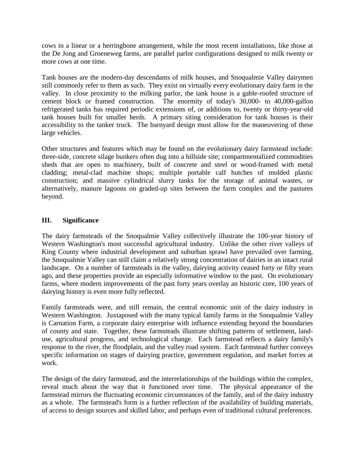cows in a linear or a herringbone arrangement, while the most recent installations, like those at the De Jong and Groeneweg farms, are parallel parlor configurations designed to milk twenty or more cows at one time.

Tank houses are the modern-day descendants of milk houses, and Snoqualmie Valley dairymen still commonly refer to them as such. They exist on virtually every evolutionary dairy farm in the valley. In close proximity to the milking parlor, the tank house is a gable-roofed structure of cement block or framed construction. The enormity of today's 30,000- to 40,000-gallon refrigerated tanks has required periodic extensions of, or additions to, twenty or thirty-year-old tank houses built for smaller herds. A primary siting consideration for tank houses is their accessibility to the tanker truck. The barnyard design must allow for the maneuvering of these large vehicles.

Other structures and features which may be found on the evolutionary dairy farmstead include: three-side, concrete silage bunkers often dug into a hillside site; compartmentalized commodities sheds that are open to machinery, built of concrete and steel or wood-framed with metal cladding; metal-clad machine shops; multiple portable calf hutches of molded plastic construction; and massive cylindrical slurry tanks for the storage of animal wastes, or alternatively, manure lagoons on graded-up sites between the farm complex and the pastures beyond.

# **III. Significance**

The dairy farmsteads of the Snoqualmie Valley collectively illustrate the 100-year history of Western Washington's most successful agricultural industry. Unlike the other river valleys of King County where industrial development and suburban sprawl have prevailed over farming, the Snoqualmie Valley can still claim a relatively strong concentration of dairies in an intact rural landscape. On a number of farmsteads in the valley, dairying activity ceased forty or fifty years ago, and these properties provide an especially informative window to the past. On evolutionary farms, where modern improvements of the past forty years overlay an historic core, 100 years of dairying history is even more fully reflected.

Family farmsteads were, and still remain, the central economic unit of the dairy industry in Western Washington. Juxtaposed with the many typical family farms in the Snoqualmie Valley is Carnation Farm, a corporate dairy enterprise with influence extending beyond the boundaries of county and state. Together, these farmsteads illustrate shifting patterns of settlement, landuse, agricultural progress, and technological change. Each farmstead reflects a dairy family's response to the river, the floodplain, and the valley road system. Each farmstead further conveys specific information on stages of dairying practice, government regulation, and market forces at work.

The design of the dairy farmstead, and the interrelationships of the buildings within the complex, reveal much about the way that it functioned over time. The physical appearance of the farmstead mirrors the fluctuating economic circumstances of the family, and of the dairy industry as a whole. The farmstead's form is a further reflection of the availability of building materials, of access to design sources and skilled labor, and perhaps even of traditional cultural preferences.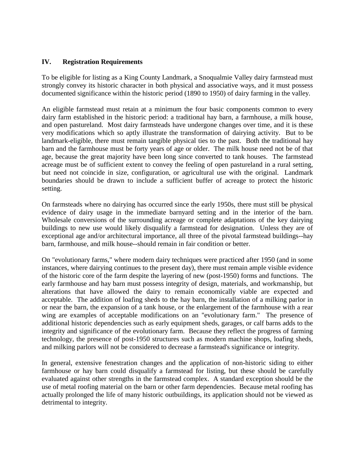## **IV. Registration Requirements**

To be eligible for listing as a King County Landmark, a Snoqualmie Valley dairy farmstead must strongly convey its historic character in both physical and associative ways, and it must possess documented significance within the historic period (1890 to 1950) of dairy farming in the valley.

An eligible farmstead must retain at a minimum the four basic components common to every dairy farm established in the historic period: a traditional hay barn, a farmhouse, a milk house, and open pastureland. Most dairy farmsteads have undergone changes over time, and it is these very modifications which so aptly illustrate the transformation of dairying activity. But to be landmark-eligible, there must remain tangible physical ties to the past. Both the traditional hay barn and the farmhouse must be forty years of age or older. The milk house need not be of that age, because the great majority have been long since converted to tank houses. The farmstead acreage must be of sufficient extent to convey the feeling of open pastureland in a rural setting, but need not coincide in size, configuration, or agricultural use with the original. Landmark boundaries should be drawn to include a sufficient buffer of acreage to protect the historic setting.

On farmsteads where no dairying has occurred since the early 1950s, there must still be physical evidence of dairy usage in the immediate barnyard setting and in the interior of the barn. Wholesale conversions of the surrounding acreage or complete adaptations of the key dairying buildings to new use would likely disqualify a farmstead for designation. Unless they are of exceptional age and/or architectural importance, all three of the pivotal farmstead buildings--hay barn, farmhouse, and milk house--should remain in fair condition or better.

On "evolutionary farms," where modern dairy techniques were practiced after 1950 (and in some instances, where dairying continues to the present day), there must remain ample visible evidence of the historic core of the farm despite the layering of new (post-1950) forms and functions. The early farmhouse and hay barn must possess integrity of design, materials, and workmanship, but alterations that have allowed the dairy to remain economically viable are expected and acceptable. The addition of loafing sheds to the hay barn, the installation of a milking parlor in or near the barn, the expansion of a tank house, or the enlargement of the farmhouse with a rear wing are examples of acceptable modifications on an "evolutionary farm." The presence of additional historic dependencies such as early equipment sheds, garages, or calf barns adds to the integrity and significance of the evolutionary farm. Because they reflect the progress of farming technology, the presence of post-1950 structures such as modern machine shops, loafing sheds, and milking parlors will not be considered to decrease a farmstead's significance or integrity.

In general, extensive fenestration changes and the application of non-historic siding to either farmhouse or hay barn could disqualify a farmstead for listing, but these should be carefully evaluated against other strengths in the farmstead complex. A standard exception should be the use of metal roofing material on the barn or other farm dependencies. Because metal roofing has actually prolonged the life of many historic outbuildings, its application should not be viewed as detrimental to integrity.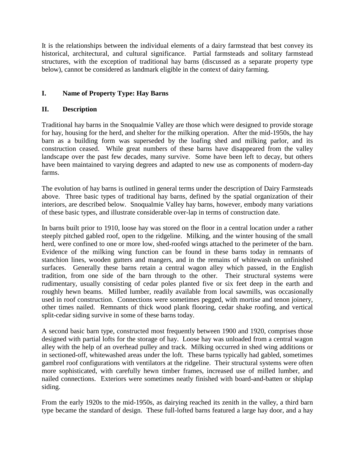It is the relationships between the individual elements of a dairy farmstead that best convey its historical, architectural, and cultural significance. Partial farmsteads and solitary farmstead structures, with the exception of traditional hay barns (discussed as a separate property type below), cannot be considered as landmark eligible in the context of dairy farming.

# **I. Name of Property Type: Hay Barns**

# **II. Description**

Traditional hay barns in the Snoqualmie Valley are those which were designed to provide storage for hay, housing for the herd, and shelter for the milking operation. After the mid-1950s, the hay barn as a building form was superseded by the loafing shed and milking parlor, and its construction ceased. While great numbers of these barns have disappeared from the valley landscape over the past few decades, many survive. Some have been left to decay, but others have been maintained to varying degrees and adapted to new use as components of modern-day farms.

The evolution of hay barns is outlined in general terms under the description of Dairy Farmsteads above. Three basic types of traditional hay barns, defined by the spatial organization of their interiors, are described below. Snoqualmie Valley hay barns, however, embody many variations of these basic types, and illustrate considerable over-lap in terms of construction date.

In barns built prior to 1910, loose hay was stored on the floor in a central location under a rather steeply pitched gabled roof, open to the ridgeline. Milking, and the winter housing of the small herd, were confined to one or more low, shed-roofed wings attached to the perimeter of the barn. Evidence of the milking wing function can be found in these barns today in remnants of stanchion lines, wooden gutters and mangers, and in the remains of whitewash on unfinished surfaces. Generally these barns retain a central wagon alley which passed, in the English tradition, from one side of the barn through to the other. Their structural systems were rudimentary, usually consisting of cedar poles planted five or six feet deep in the earth and roughly hewn beams. Milled lumber, readily available from local sawmills, was occasionally used in roof construction. Connections were sometimes pegged, with mortise and tenon joinery, other times nailed. Remnants of thick wood plank flooring, cedar shake roofing, and vertical split-cedar siding survive in some of these barns today.

A second basic barn type, constructed most frequently between 1900 and 1920, comprises those designed with partial lofts for the storage of hay. Loose hay was unloaded from a central wagon alley with the help of an overhead pulley and track. Milking occurred in shed wing additions or in sectioned-off, whitewashed areas under the loft. These barns typically had gabled, sometimes gambrel roof configurations with ventilators at the ridgeline. Their structural systems were often more sophisticated, with carefully hewn timber frames, increased use of milled lumber, and nailed connections. Exteriors were sometimes neatly finished with board-and-batten or shiplap siding.

From the early 1920s to the mid-1950s, as dairying reached its zenith in the valley, a third barn type became the standard of design. These full-lofted barns featured a large hay door, and a hay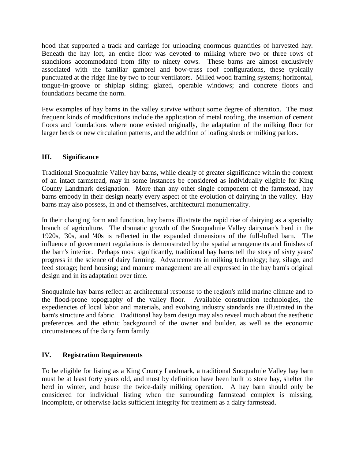hood that supported a track and carriage for unloading enormous quantities of harvested hay. Beneath the hay loft, an entire floor was devoted to milking where two or three rows of stanchions accommodated from fifty to ninety cows. These barns are almost exclusively associated with the familiar gambrel and bow-truss roof configurations, these typically punctuated at the ridge line by two to four ventilators. Milled wood framing systems; horizontal, tongue-in-groove or shiplap siding; glazed, operable windows; and concrete floors and foundations became the norm.

Few examples of hay barns in the valley survive without some degree of alteration. The most frequent kinds of modifications include the application of metal roofing, the insertion of cement floors and foundations where none existed originally, the adaptation of the milking floor for larger herds or new circulation patterns, and the addition of loafing sheds or milking parlors.

# **III. Significance**

Traditional Snoqualmie Valley hay barns, while clearly of greater significance within the context of an intact farmstead, may in some instances be considered as individually eligible for King County Landmark designation. More than any other single component of the farmstead, hay barns embody in their design nearly every aspect of the evolution of dairying in the valley. Hay barns may also possess, in and of themselves, architectural monumentality.

In their changing form and function, hay barns illustrate the rapid rise of dairying as a specialty branch of agriculture. The dramatic growth of the Snoqualmie Valley dairyman's herd in the 1920s, '30s, and '40s is reflected in the expanded dimensions of the full-lofted barn. The influence of government regulations is demonstrated by the spatial arrangements and finishes of the barn's interior. Perhaps most significantly, traditional hay barns tell the story of sixty years' progress in the science of dairy farming. Advancements in milking technology; hay, silage, and feed storage; herd housing; and manure management are all expressed in the hay barn's original design and in its adaptation over time.

Snoqualmie hay barns reflect an architectural response to the region's mild marine climate and to the flood-prone topography of the valley floor. Available construction technologies, the expediencies of local labor and materials, and evolving industry standards are illustrated in the barn's structure and fabric. Traditional hay barn design may also reveal much about the aesthetic preferences and the ethnic background of the owner and builder, as well as the economic circumstances of the dairy farm family.

# **IV. Registration Requirements**

To be eligible for listing as a King County Landmark, a traditional Snoqualmie Valley hay barn must be at least forty years old, and must by definition have been built to store hay, shelter the herd in winter, and house the twice-daily milking operation. A hay barn should only be considered for individual listing when the surrounding farmstead complex is missing, incomplete, or otherwise lacks sufficient integrity for treatment as a dairy farmstead.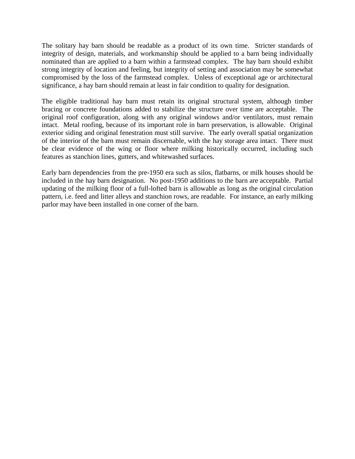The solitary hay barn should be readable as a product of its own time. Stricter standards of integrity of design, materials, and workmanship should be applied to a barn being individually nominated than are applied to a barn within a farmstead complex. The hay barn should exhibit strong integrity of location and feeling, but integrity of setting and association may be somewhat compromised by the loss of the farmstead complex. Unless of exceptional age or architectural significance, a hay barn should remain at least in fair condition to quality for designation.

The eligible traditional hay barn must retain its original structural system, although timber bracing or concrete foundations added to stabilize the structure over time are acceptable. The original roof configuration, along with any original windows and/or ventilators, must remain intact. Metal roofing, because of its important role in barn preservation, is allowable. Original exterior siding and original fenestration must still survive. The early overall spatial organization of the interior of the barn must remain discernable, with the hay storage area intact. There must be clear evidence of the wing or floor where milking historically occurred, including such features as stanchion lines, gutters, and whitewashed surfaces.

Early barn dependencies from the pre-1950 era such as silos, flatbarns, or milk houses should be included in the hay barn designation. No post-1950 additions to the barn are acceptable. Partial updating of the milking floor of a full-lofted barn is allowable as long as the original circulation pattern, i.e. feed and litter alleys and stanchion rows, are readable. For instance, an early milking parlor may have been installed in one corner of the barn.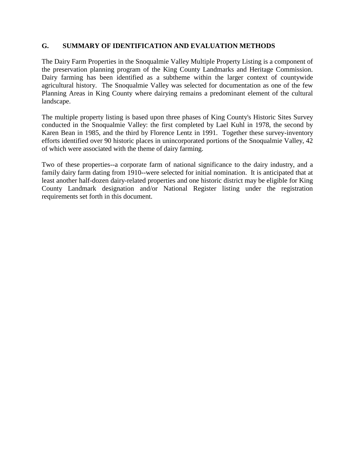## **G. SUMMARY OF IDENTIFICATION AND EVALUATION METHODS**

The Dairy Farm Properties in the Snoqualmie Valley Multiple Property Listing is a component of the preservation planning program of the King County Landmarks and Heritage Commission. Dairy farming has been identified as a subtheme within the larger context of countywide agricultural history. The Snoqualmie Valley was selected for documentation as one of the few Planning Areas in King County where dairying remains a predominant element of the cultural landscape.

The multiple property listing is based upon three phases of King County's Historic Sites Survey conducted in the Snoqualmie Valley: the first completed by Lael Kuhl in 1978, the second by Karen Bean in 1985, and the third by Florence Lentz in 1991. Together these survey-inventory efforts identified over 90 historic places in unincorporated portions of the Snoqualmie Valley, 42 of which were associated with the theme of dairy farming.

Two of these properties--a corporate farm of national significance to the dairy industry, and a family dairy farm dating from 1910--were selected for initial nomination. It is anticipated that at least another half-dozen dairy-related properties and one historic district may be eligible for King County Landmark designation and/or National Register listing under the registration requirements set forth in this document.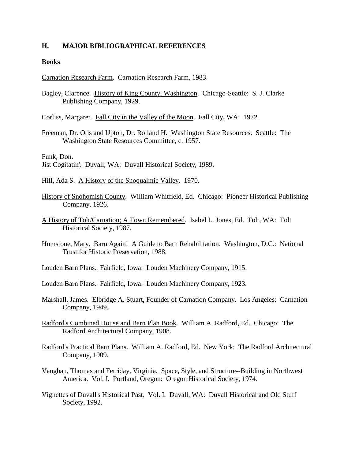#### **H. MAJOR BIBLIOGRAPHICAL REFERENCES**

#### **Books**

Carnation Research Farm. Carnation Research Farm, 1983.

- Bagley, Clarence. History of King County, Washington. Chicago-Seattle: S. J. Clarke Publishing Company, 1929.
- Corliss, Margaret. Fall City in the Valley of the Moon. Fall City, WA: 1972.
- Freeman, Dr. Otis and Upton, Dr. Rolland H. Washington State Resources. Seattle: The Washington State Resources Committee, c. 1957.

Funk, Don.

- Jist Cogitatin'. Duvall, WA: Duvall Historical Society, 1989.
- Hill, Ada S. A History of the Snoqualmie Valley. 1970.
- History of Snohomish County. William Whitfield, Ed. Chicago: Pioneer Historical Publishing Company, 1926.
- A History of Tolt/Carnation; A Town Remembered. Isabel L. Jones, Ed. Tolt, WA: Tolt Historical Society, 1987.
- Humstone, Mary. Barn Again! A Guide to Barn Rehabilitation. Washington, D.C.: National Trust for Historic Preservation, 1988.
- Louden Barn Plans. Fairfield, Iowa: Louden Machinery Company, 1915.
- Louden Barn Plans. Fairfield, Iowa: Louden Machinery Company, 1923.
- Marshall, James. Elbridge A. Stuart, Founder of Carnation Company. Los Angeles: Carnation Company, 1949.
- Radford's Combined House and Barn Plan Book. William A. Radford, Ed. Chicago: The Radford Architectural Company, 1908.
- Radford's Practical Barn Plans. William A. Radford, Ed. New York: The Radford Architectural Company, 1909.
- Vaughan, Thomas and Ferriday, Virginia. Space, Style, and Structure--Building in Northwest America. Vol. I. Portland, Oregon: Oregon Historical Society, 1974.
- Vignettes of Duvall's Historical Past. Vol. I. Duvall, WA: Duvall Historical and Old Stuff Society, 1992.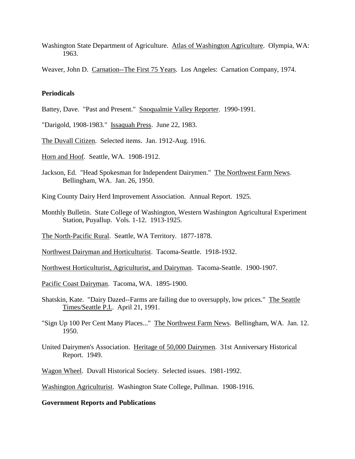Washington State Department of Agriculture. Atlas of Washington Agriculture. Olympia, WA: 1963.

Weaver, John D. Carnation--The First 75 Years. Los Angeles: Carnation Company, 1974.

#### **Periodicals**

- Battey, Dave. "Past and Present." Snoqualmie Valley Reporter. 1990-1991.
- "Darigold, 1908-1983." Issaquah Press. June 22, 1983.
- The Duvall Citizen. Selected items. Jan. 1912-Aug. 1916.
- Horn and Hoof. Seattle, WA. 1908-1912.
- Jackson, Ed. "Head Spokesman for Independent Dairymen." The Northwest Farm News. Bellingham, WA. Jan. 26, 1950.

King County Dairy Herd Improvement Association. Annual Report. 1925.

- Monthly Bulletin. State College of Washington, Western Washington Agricultural Experiment Station, Puyallup. Vols. 1-12. 1913-1925.
- The North-Pacific Rural. Seattle, WA Territory. 1877-1878.
- Northwest Dairyman and Horticulturist. Tacoma-Seattle. 1918-1932.
- Northwest Horticulturist, Agriculturist, and Dairyman. Tacoma-Seattle. 1900-1907.
- Pacific Coast Dairyman. Tacoma, WA. 1895-1900.
- Shatskin, Kate. "Dairy Dazed--Farms are failing due to oversupply, low prices." The Seattle Times/Seattle P.I.. April 21, 1991.
- "Sign Up 100 Per Cent Many Places..." The Northwest Farm News. Bellingham, WA. Jan. 12. 1950.
- United Dairymen's Association. Heritage of 50,000 Dairymen. 31st Anniversary Historical Report. 1949.
- Wagon Wheel. Duvall Historical Society. Selected issues. 1981-1992.

Washington Agriculturist. Washington State College, Pullman. 1908-1916.

#### **Government Reports and Publications**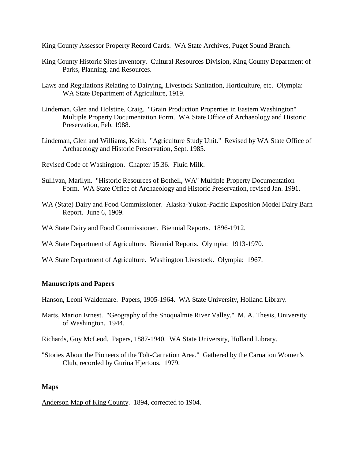King County Assessor Property Record Cards. WA State Archives, Puget Sound Branch.

- King County Historic Sites Inventory. Cultural Resources Division, King County Department of Parks, Planning, and Resources.
- Laws and Regulations Relating to Dairying, Livestock Sanitation, Horticulture, etc. Olympia: WA State Department of Agriculture, 1919.
- Lindeman, Glen and Holstine, Craig. "Grain Production Properties in Eastern Washington" Multiple Property Documentation Form. WA State Office of Archaeology and Historic Preservation, Feb. 1988.
- Lindeman, Glen and Williams, Keith. "Agriculture Study Unit." Revised by WA State Office of Archaeology and Historic Preservation, Sept. 1985.
- Revised Code of Washington. Chapter 15.36. Fluid Milk.
- Sullivan, Marilyn. "Historic Resources of Bothell, WA" Multiple Property Documentation Form. WA State Office of Archaeology and Historic Preservation, revised Jan. 1991.
- WA (State) Dairy and Food Commissioner. Alaska-Yukon-Pacific Exposition Model Dairy Barn Report. June 6, 1909.
- WA State Dairy and Food Commissioner. Biennial Reports. 1896-1912.
- WA State Department of Agriculture. Biennial Reports. Olympia: 1913-1970.
- WA State Department of Agriculture. Washington Livestock. Olympia: 1967.

### **Manuscripts and Papers**

Hanson, Leoni Waldemare. Papers, 1905-1964. WA State University, Holland Library.

Marts, Marion Ernest. "Geography of the Snoqualmie River Valley." M. A. Thesis, University of Washington. 1944.

Richards, Guy McLeod. Papers, 1887-1940. WA State University, Holland Library.

"Stories About the Pioneers of the Tolt-Carnation Area." Gathered by the Carnation Women's Club, recorded by Gurina Hjertoos. 1979.

#### **Maps**

Anderson Map of King County. 1894, corrected to 1904.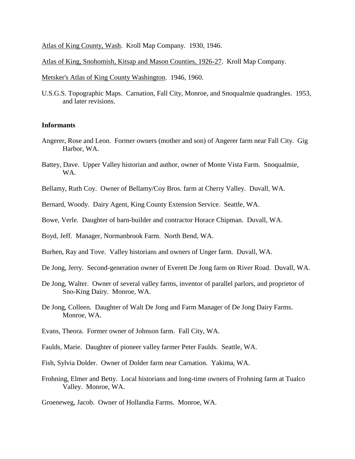Atlas of King County, Wash. Kroll Map Company. 1930, 1946.

Atlas of King, Snohomish, Kitsap and Mason Counties, 1926-27. Kroll Map Company.

Metsker's Atlas of King County Washington. 1946, 1960.

U.S.G.S. Topographic Maps. Carnation, Fall City, Monroe, and Snoqualmie quadrangles. 1953, and later revisions.

#### **Informants**

- Angerer, Rose and Leon. Former owners (mother and son) of Angerer farm near Fall City. Gig Harbor, WA.
- Battey, Dave. Upper Valley historian and author, owner of Monte Vista Farm. Snoqualmie, WA.
- Bellamy, Ruth Coy. Owner of Bellamy/Coy Bros. farm at Cherry Valley. Duvall, WA.

Bernard, Woody. Dairy Agent, King County Extension Service. Seattle, WA.

- Bowe, Verle. Daughter of barn-builder and contractor Horace Chipman. Duvall, WA.
- Boyd, Jeff. Manager, Normanbrook Farm. North Bend, WA.
- Burhen, Ray and Tove. Valley historians and owners of Unger farm. Duvall, WA.
- De Jong, Jerry. Second-generation owner of Everett De Jong farm on River Road. Duvall, WA.
- De Jong, Walter. Owner of several valley farms, inventor of parallel parlors, and proprietor of Sno-King Dairy. Monroe, WA.
- De Jong, Colleen. Daughter of Walt De Jong and Farm Manager of De Jong Dairy Farms. Monroe, WA.
- Evans, Theora. Former owner of Johnson farm. Fall City, WA.
- Faulds, Marie. Daughter of pioneer valley farmer Peter Faulds. Seattle, WA.
- Fish, Sylvia Dolder. Owner of Dolder farm near Carnation. Yakima, WA.
- Frohning, Elmer and Betty. Local historians and long-time owners of Frohning farm at Tualco Valley. Monroe, WA.

Groeneweg, Jacob. Owner of Hollandia Farms. Monroe, WA.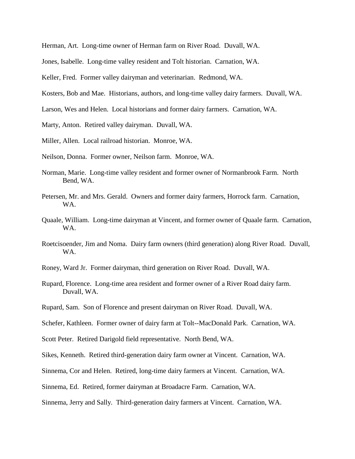Herman, Art. Long-time owner of Herman farm on River Road. Duvall, WA.

Jones, Isabelle. Long-time valley resident and Tolt historian. Carnation, WA.

Keller, Fred. Former valley dairyman and veterinarian. Redmond, WA.

Kosters, Bob and Mae. Historians, authors, and long-time valley dairy farmers. Duvall, WA.

Larson, Wes and Helen. Local historians and former dairy farmers. Carnation, WA.

Marty, Anton. Retired valley dairyman. Duvall, WA.

Miller, Allen. Local railroad historian. Monroe, WA.

Neilson, Donna. Former owner, Neilson farm. Monroe, WA.

- Norman, Marie. Long-time valley resident and former owner of Normanbrook Farm. North Bend, WA.
- Petersen, Mr. and Mrs. Gerald. Owners and former dairy farmers, Horrock farm. Carnation, WA.
- Quaale, William. Long-time dairyman at Vincent, and former owner of Quaale farm. Carnation, WA.
- Roetcisoender, Jim and Noma. Dairy farm owners (third generation) along River Road. Duvall, WA.
- Roney, Ward Jr. Former dairyman, third generation on River Road. Duvall, WA.
- Rupard, Florence. Long-time area resident and former owner of a River Road dairy farm. Duvall, WA.
- Rupard, Sam. Son of Florence and present dairyman on River Road. Duvall, WA.

Schefer, Kathleen. Former owner of dairy farm at Tolt--MacDonald Park. Carnation, WA.

Scott Peter. Retired Darigold field representative. North Bend, WA.

Sikes, Kenneth. Retired third-generation dairy farm owner at Vincent. Carnation, WA.

Sinnema, Cor and Helen. Retired, long-time dairy farmers at Vincent. Carnation, WA.

Sinnema, Ed. Retired, former dairyman at Broadacre Farm. Carnation, WA.

Sinnema, Jerry and Sally. Third-generation dairy farmers at Vincent. Carnation, WA.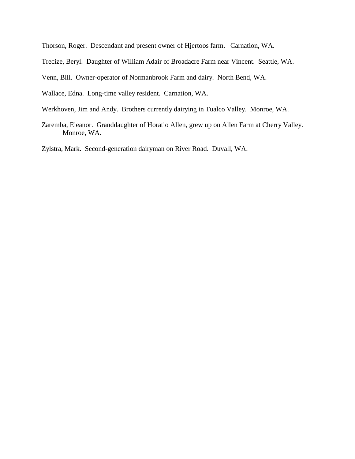Thorson, Roger. Descendant and present owner of Hjertoos farm. Carnation, WA.

Trecize, Beryl. Daughter of William Adair of Broadacre Farm near Vincent. Seattle, WA.

Venn, Bill. Owner-operator of Normanbrook Farm and dairy. North Bend, WA.

Wallace, Edna. Long-time valley resident. Carnation, WA.

- Werkhoven, Jim and Andy. Brothers currently dairying in Tualco Valley. Monroe, WA.
- Zaremba, Eleanor. Granddaughter of Horatio Allen, grew up on Allen Farm at Cherry Valley. Monroe, WA.

Zylstra, Mark. Second-generation dairyman on River Road. Duvall, WA.